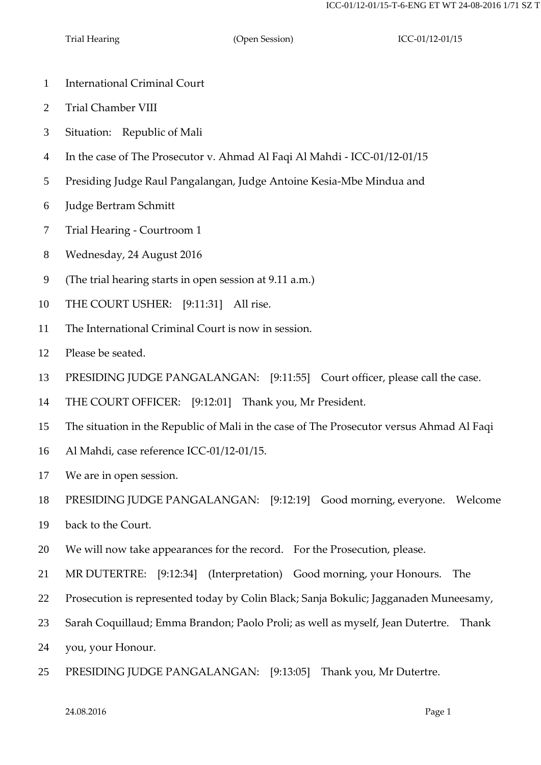- International Criminal Court
- Trial Chamber VIII
- Situation: Republic of Mali
- In the case of The Prosecutor v. Ahmad Al Faqi Al Mahdi ICC-01/12-01/15
- Presiding Judge Raul Pangalangan, Judge Antoine Kesia-Mbe Mindua and
- Judge Bertram Schmitt
- Trial Hearing Courtroom 1
- Wednesday, 24 August 2016
- (The trial hearing starts in open session at 9.11 a.m.)
- THE COURT USHER: [9:11:31] All rise.
- The International Criminal Court is now in session.
- Please be seated.
- PRESIDING JUDGE PANGALANGAN: [9:11:55] Court officer, please call the case.
- THE COURT OFFICER: [9:12:01] Thank you, Mr President.
- The situation in the Republic of Mali in the case of The Prosecutor versus Ahmad Al Faqi
- Al Mahdi, case reference ICC-01/12-01/15.
- We are in open session.
- PRESIDING JUDGE PANGALANGAN: [9:12:19] Good morning, everyone. Welcome
- back to the Court.
- We will now take appearances for the record. For the Prosecution, please.
- MR DUTERTRE: [9:12:34] (Interpretation) Good morning, your Honours. The
- Prosecution is represented today by Colin Black; Sanja Bokulic; Jagganaden Muneesamy,
- Sarah Coquillaud; Emma Brandon; Paolo Proli; as well as myself, Jean Dutertre. Thank
- you, your Honour.
- PRESIDING JUDGE PANGALANGAN: [9:13:05] Thank you, Mr Dutertre.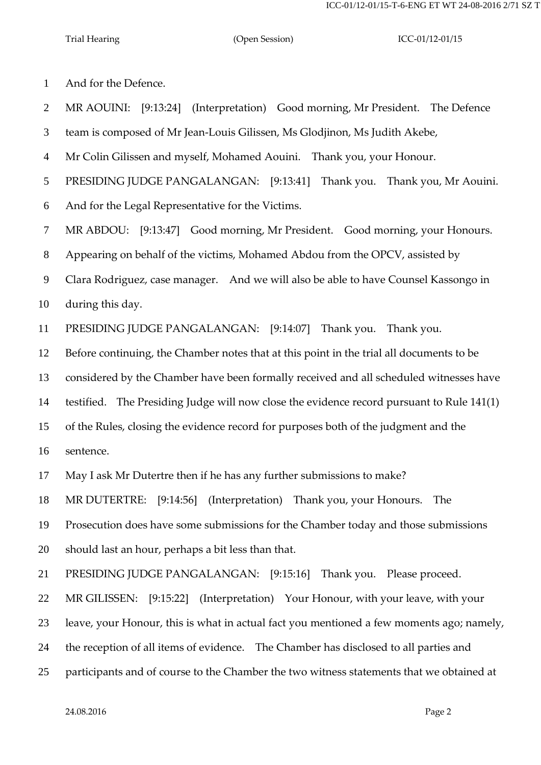And for the Defence.

MR AOUINI: [9:13:24] (Interpretation) Good morning, Mr President. The Defence

team is composed of Mr Jean-Louis Gilissen, Ms Glodjinon, Ms Judith Akebe,

Mr Colin Gilissen and myself, Mohamed Aouini. Thank you, your Honour.

PRESIDING JUDGE PANGALANGAN: [9:13:41] Thank you. Thank you, Mr Aouini.

And for the Legal Representative for the Victims.

MR ABDOU: [9:13:47] Good morning, Mr President. Good morning, your Honours.

Appearing on behalf of the victims, Mohamed Abdou from the OPCV, assisted by

Clara Rodriguez, case manager. And we will also be able to have Counsel Kassongo in

during this day.

PRESIDING JUDGE PANGALANGAN: [9:14:07] Thank you. Thank you.

Before continuing, the Chamber notes that at this point in the trial all documents to be

considered by the Chamber have been formally received and all scheduled witnesses have

testified. The Presiding Judge will now close the evidence record pursuant to Rule 141(1)

of the Rules, closing the evidence record for purposes both of the judgment and the

sentence.

May I ask Mr Dutertre then if he has any further submissions to make?

MR DUTERTRE: [9:14:56] (Interpretation) Thank you, your Honours. The

Prosecution does have some submissions for the Chamber today and those submissions

should last an hour, perhaps a bit less than that.

PRESIDING JUDGE PANGALANGAN: [9:15:16] Thank you. Please proceed.

MR GILISSEN: [9:15:22] (Interpretation) Your Honour, with your leave, with your

leave, your Honour, this is what in actual fact you mentioned a few moments ago; namely,

the reception of all items of evidence. The Chamber has disclosed to all parties and

participants and of course to the Chamber the two witness statements that we obtained at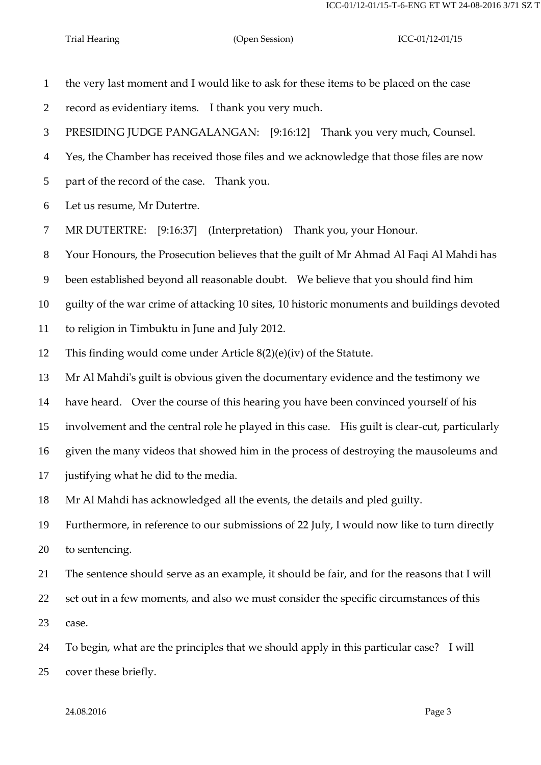the very last moment and I would like to ask for these items to be placed on the case

record as evidentiary items. I thank you very much.

PRESIDING JUDGE PANGALANGAN: [9:16:12] Thank you very much, Counsel.

Yes, the Chamber has received those files and we acknowledge that those files are now

part of the record of the case. Thank you.

Let us resume, Mr Dutertre.

MR DUTERTRE: [9:16:37] (Interpretation) Thank you, your Honour.

Your Honours, the Prosecution believes that the guilt of Mr Ahmad Al Faqi Al Mahdi has

been established beyond all reasonable doubt. We believe that you should find him

guilty of the war crime of attacking 10 sites, 10 historic monuments and buildings devoted

to religion in Timbuktu in June and July 2012.

This finding would come under Article 8(2)(e)(iv) of the Statute.

Mr Al Mahdi's guilt is obvious given the documentary evidence and the testimony we

have heard. Over the course of this hearing you have been convinced yourself of his

involvement and the central role he played in this case. His guilt is clear-cut, particularly

given the many videos that showed him in the process of destroying the mausoleums and

justifying what he did to the media.

Mr Al Mahdi has acknowledged all the events, the details and pled guilty.

 Furthermore, in reference to our submissions of 22 July, I would now like to turn directly to sentencing.

The sentence should serve as an example, it should be fair, and for the reasons that I will

 set out in a few moments, and also we must consider the specific circumstances of this case.

 To begin, what are the principles that we should apply in this particular case? I will cover these briefly.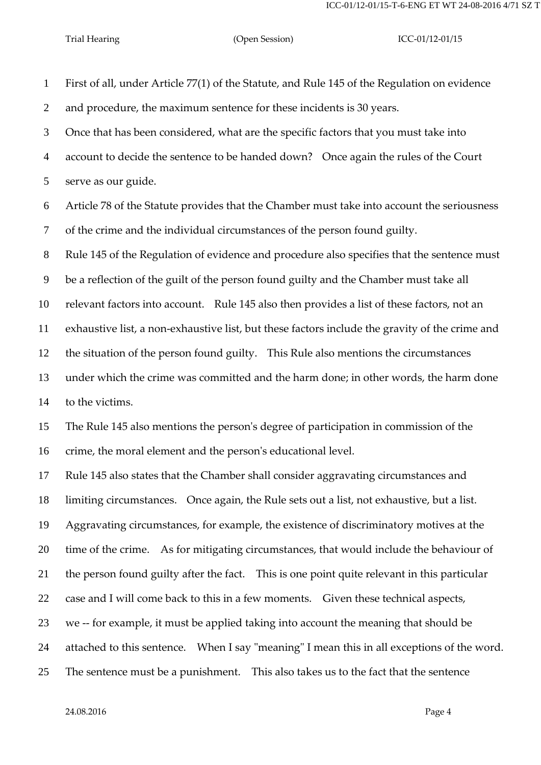First of all, under Article 77(1) of the Statute, and Rule 145 of the Regulation on evidence and procedure, the maximum sentence for these incidents is 30 years. Once that has been considered, what are the specific factors that you must take into account to decide the sentence to be handed down? Once again the rules of the Court serve as our guide. Article 78 of the Statute provides that the Chamber must take into account the seriousness of the crime and the individual circumstances of the person found guilty. Rule 145 of the Regulation of evidence and procedure also specifies that the sentence must be a reflection of the guilt of the person found guilty and the Chamber must take all relevant factors into account. Rule 145 also then provides a list of these factors, not an exhaustive list, a non-exhaustive list, but these factors include the gravity of the crime and the situation of the person found guilty. This Rule also mentions the circumstances under which the crime was committed and the harm done; in other words, the harm done to the victims. The Rule 145 also mentions the person's degree of participation in commission of the crime, the moral element and the person's educational level. Rule 145 also states that the Chamber shall consider aggravating circumstances and limiting circumstances. Once again, the Rule sets out a list, not exhaustive, but a list. Aggravating circumstances, for example, the existence of discriminatory motives at the time of the crime. As for mitigating circumstances, that would include the behaviour of the person found guilty after the fact. This is one point quite relevant in this particular case and I will come back to this in a few moments. Given these technical aspects, we -- for example, it must be applied taking into account the meaning that should be attached to this sentence. When I say "meaning" I mean this in all exceptions of the word.

The sentence must be a punishment. This also takes us to the fact that the sentence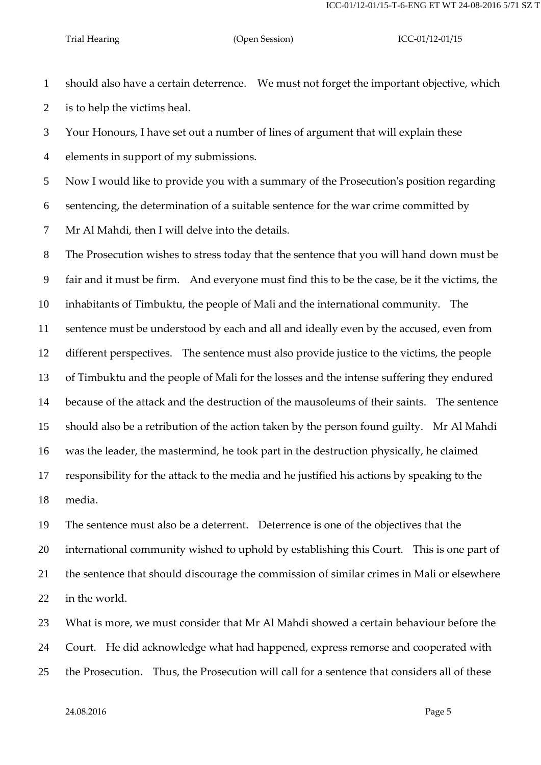should also have a certain deterrence. We must not forget the important objective, which is to help the victims heal.

 Your Honours, I have set out a number of lines of argument that will explain these elements in support of my submissions.

Now I would like to provide you with a summary of the Prosecution's position regarding

sentencing, the determination of a suitable sentence for the war crime committed by

Mr Al Mahdi, then I will delve into the details.

 The Prosecution wishes to stress today that the sentence that you will hand down must be fair and it must be firm. And everyone must find this to be the case, be it the victims, the inhabitants of Timbuktu, the people of Mali and the international community. The sentence must be understood by each and all and ideally even by the accused, even from different perspectives. The sentence must also provide justice to the victims, the people of Timbuktu and the people of Mali for the losses and the intense suffering they endured because of the attack and the destruction of the mausoleums of their saints. The sentence should also be a retribution of the action taken by the person found guilty. Mr Al Mahdi was the leader, the mastermind, he took part in the destruction physically, he claimed responsibility for the attack to the media and he justified his actions by speaking to the media.

 The sentence must also be a deterrent. Deterrence is one of the objectives that the international community wished to uphold by establishing this Court. This is one part of the sentence that should discourage the commission of similar crimes in Mali or elsewhere in the world.

 What is more, we must consider that Mr Al Mahdi showed a certain behaviour before the Court. He did acknowledge what had happened, express remorse and cooperated with the Prosecution. Thus, the Prosecution will call for a sentence that considers all of these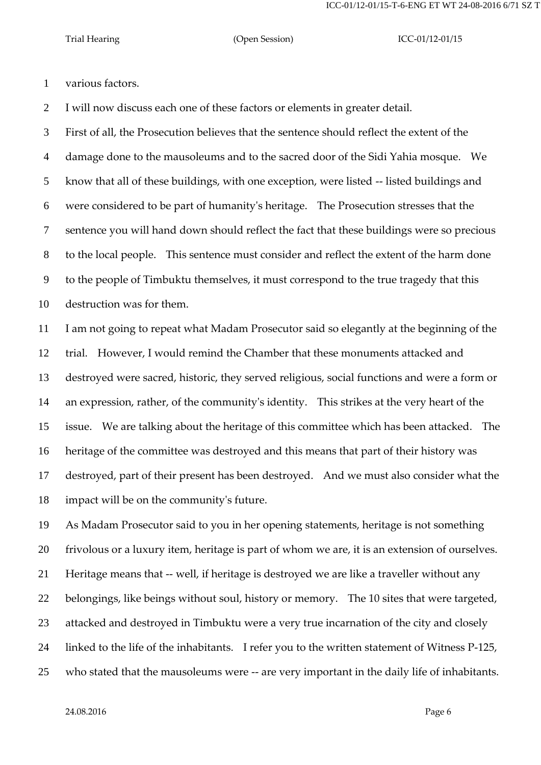various factors.

I will now discuss each one of these factors or elements in greater detail.

 First of all, the Prosecution believes that the sentence should reflect the extent of the damage done to the mausoleums and to the sacred door of the Sidi Yahia mosque. We know that all of these buildings, with one exception, were listed -- listed buildings and were considered to be part of humanity's heritage. The Prosecution stresses that the sentence you will hand down should reflect the fact that these buildings were so precious to the local people. This sentence must consider and reflect the extent of the harm done to the people of Timbuktu themselves, it must correspond to the true tragedy that this destruction was for them.

 I am not going to repeat what Madam Prosecutor said so elegantly at the beginning of the trial. However, I would remind the Chamber that these monuments attacked and destroyed were sacred, historic, they served religious, social functions and were a form or an expression, rather, of the community's identity. This strikes at the very heart of the issue. We are talking about the heritage of this committee which has been attacked. The heritage of the committee was destroyed and this means that part of their history was destroyed, part of their present has been destroyed. And we must also consider what the impact will be on the community's future.

 As Madam Prosecutor said to you in her opening statements, heritage is not something frivolous or a luxury item, heritage is part of whom we are, it is an extension of ourselves. Heritage means that -- well, if heritage is destroyed we are like a traveller without any belongings, like beings without soul, history or memory. The 10 sites that were targeted, attacked and destroyed in Timbuktu were a very true incarnation of the city and closely linked to the life of the inhabitants. I refer you to the written statement of Witness P-125, who stated that the mausoleums were -- are very important in the daily life of inhabitants.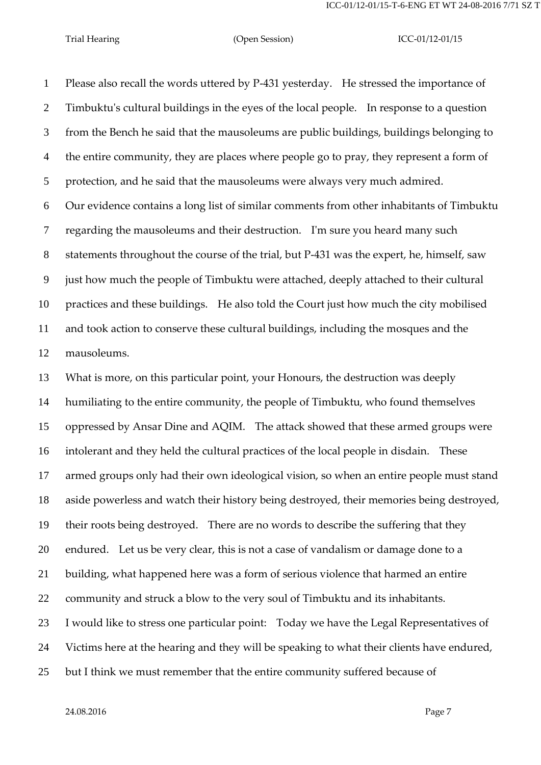Please also recall the words uttered by P-431 yesterday. He stressed the importance of Timbuktu's cultural buildings in the eyes of the local people. In response to a question from the Bench he said that the mausoleums are public buildings, buildings belonging to the entire community, they are places where people go to pray, they represent a form of protection, and he said that the mausoleums were always very much admired. Our evidence contains a long list of similar comments from other inhabitants of Timbuktu regarding the mausoleums and their destruction. I'm sure you heard many such statements throughout the course of the trial, but P-431 was the expert, he, himself, saw just how much the people of Timbuktu were attached, deeply attached to their cultural practices and these buildings. He also told the Court just how much the city mobilised and took action to conserve these cultural buildings, including the mosques and the mausoleums.

 What is more, on this particular point, your Honours, the destruction was deeply humiliating to the entire community, the people of Timbuktu, who found themselves oppressed by Ansar Dine and AQIM. The attack showed that these armed groups were intolerant and they held the cultural practices of the local people in disdain. These armed groups only had their own ideological vision, so when an entire people must stand aside powerless and watch their history being destroyed, their memories being destroyed, their roots being destroyed. There are no words to describe the suffering that they endured. Let us be very clear, this is not a case of vandalism or damage done to a building, what happened here was a form of serious violence that harmed an entire community and struck a blow to the very soul of Timbuktu and its inhabitants. I would like to stress one particular point: Today we have the Legal Representatives of Victims here at the hearing and they will be speaking to what their clients have endured, but I think we must remember that the entire community suffered because of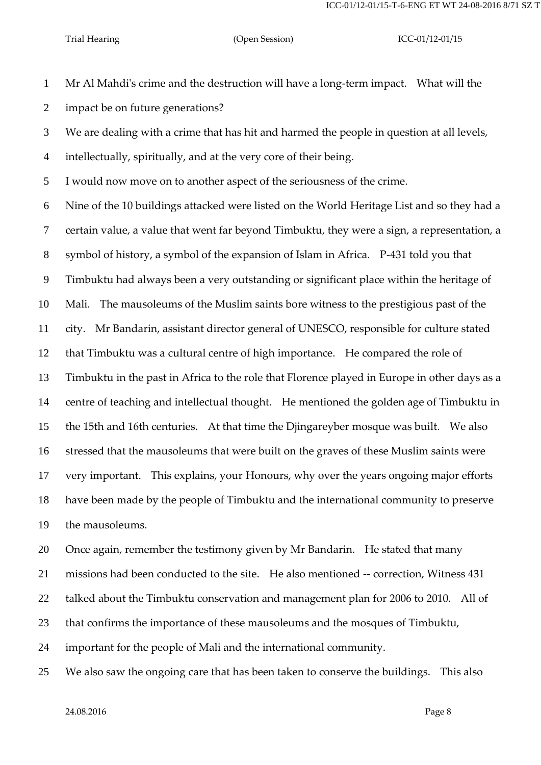ICC-01/12-01/15-T-6-ENG ET WT 24-08-2016 8/71 SZ T

## Trial Hearing (Open Session) ICC-01/12-01/15

 Mr Al Mahdi's crime and the destruction will have a long-term impact. What will the impact be on future generations?

We are dealing with a crime that has hit and harmed the people in question at all levels,

intellectually, spiritually, and at the very core of their being.

I would now move on to another aspect of the seriousness of the crime.

Nine of the 10 buildings attacked were listed on the World Heritage List and so they had a

certain value, a value that went far beyond Timbuktu, they were a sign, a representation, a

symbol of history, a symbol of the expansion of Islam in Africa. P-431 told you that

Timbuktu had always been a very outstanding or significant place within the heritage of

Mali. The mausoleums of the Muslim saints bore witness to the prestigious past of the

city. Mr Bandarin, assistant director general of UNESCO, responsible for culture stated

that Timbuktu was a cultural centre of high importance. He compared the role of

Timbuktu in the past in Africa to the role that Florence played in Europe in other days as a

centre of teaching and intellectual thought. He mentioned the golden age of Timbuktu in

the 15th and 16th centuries. At that time the Djingareyber mosque was built. We also

stressed that the mausoleums that were built on the graves of these Muslim saints were

very important. This explains, your Honours, why over the years ongoing major efforts

have been made by the people of Timbuktu and the international community to preserve

the mausoleums.

Once again, remember the testimony given by Mr Bandarin. He stated that many

missions had been conducted to the site. He also mentioned -- correction, Witness 431

talked about the Timbuktu conservation and management plan for 2006 to 2010. All of

that confirms the importance of these mausoleums and the mosques of Timbuktu,

important for the people of Mali and the international community.

We also saw the ongoing care that has been taken to conserve the buildings. This also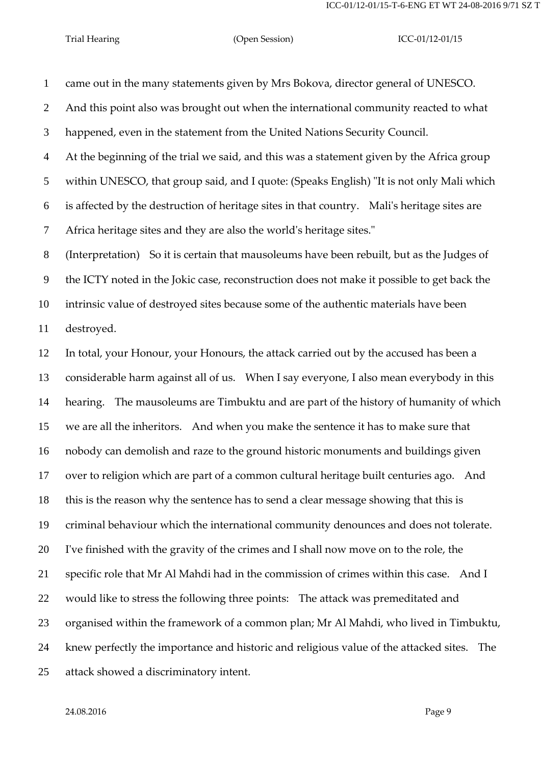came out in the many statements given by Mrs Bokova, director general of UNESCO. And this point also was brought out when the international community reacted to what happened, even in the statement from the United Nations Security Council. At the beginning of the trial we said, and this was a statement given by the Africa group within UNESCO, that group said, and I quote: (Speaks English) "It is not only Mali which is affected by the destruction of heritage sites in that country. Mali's heritage sites are Africa heritage sites and they are also the world's heritage sites."

 (Interpretation) So it is certain that mausoleums have been rebuilt, but as the Judges of the ICTY noted in the Jokic case, reconstruction does not make it possible to get back the intrinsic value of destroyed sites because some of the authentic materials have been destroyed.

 In total, your Honour, your Honours, the attack carried out by the accused has been a considerable harm against all of us. When I say everyone, I also mean everybody in this hearing. The mausoleums are Timbuktu and are part of the history of humanity of which we are all the inheritors. And when you make the sentence it has to make sure that nobody can demolish and raze to the ground historic monuments and buildings given over to religion which are part of a common cultural heritage built centuries ago. And this is the reason why the sentence has to send a clear message showing that this is criminal behaviour which the international community denounces and does not tolerate. I've finished with the gravity of the crimes and I shall now move on to the role, the specific role that Mr Al Mahdi had in the commission of crimes within this case. And I would like to stress the following three points: The attack was premeditated and organised within the framework of a common plan; Mr Al Mahdi, who lived in Timbuktu, knew perfectly the importance and historic and religious value of the attacked sites. The attack showed a discriminatory intent.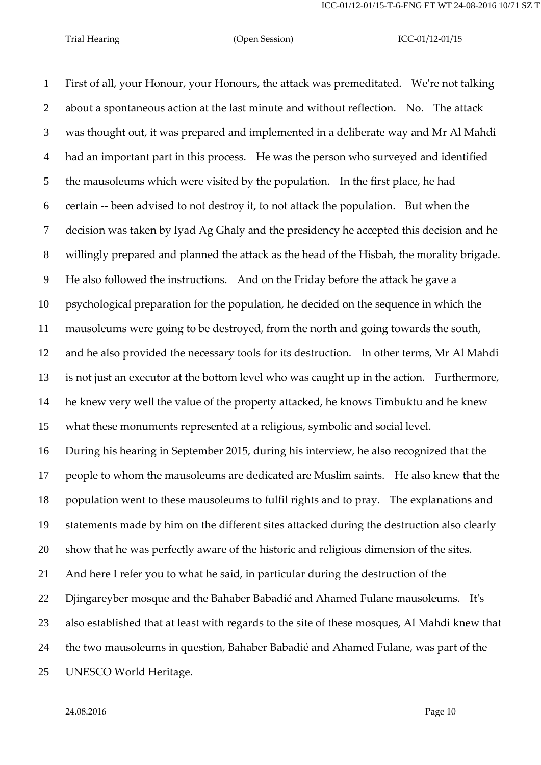First of all, your Honour, your Honours, the attack was premeditated. We're not talking about a spontaneous action at the last minute and without reflection. No. The attack was thought out, it was prepared and implemented in a deliberate way and Mr Al Mahdi had an important part in this process. He was the person who surveyed and identified the mausoleums which were visited by the population. In the first place, he had certain -- been advised to not destroy it, to not attack the population. But when the decision was taken by Iyad Ag Ghaly and the presidency he accepted this decision and he willingly prepared and planned the attack as the head of the Hisbah, the morality brigade. He also followed the instructions. And on the Friday before the attack he gave a psychological preparation for the population, he decided on the sequence in which the mausoleums were going to be destroyed, from the north and going towards the south, and he also provided the necessary tools for its destruction. In other terms, Mr Al Mahdi is not just an executor at the bottom level who was caught up in the action. Furthermore, he knew very well the value of the property attacked, he knows Timbuktu and he knew what these monuments represented at a religious, symbolic and social level. During his hearing in September 2015, during his interview, he also recognized that the people to whom the mausoleums are dedicated are Muslim saints. He also knew that the population went to these mausoleums to fulfil rights and to pray. The explanations and statements made by him on the different sites attacked during the destruction also clearly show that he was perfectly aware of the historic and religious dimension of the sites. And here I refer you to what he said, in particular during the destruction of the Djingareyber mosque and the Bahaber Babadié and Ahamed Fulane mausoleums. It's also established that at least with regards to the site of these mosques, Al Mahdi knew that the two mausoleums in question, Bahaber Babadié and Ahamed Fulane, was part of the UNESCO World Heritage.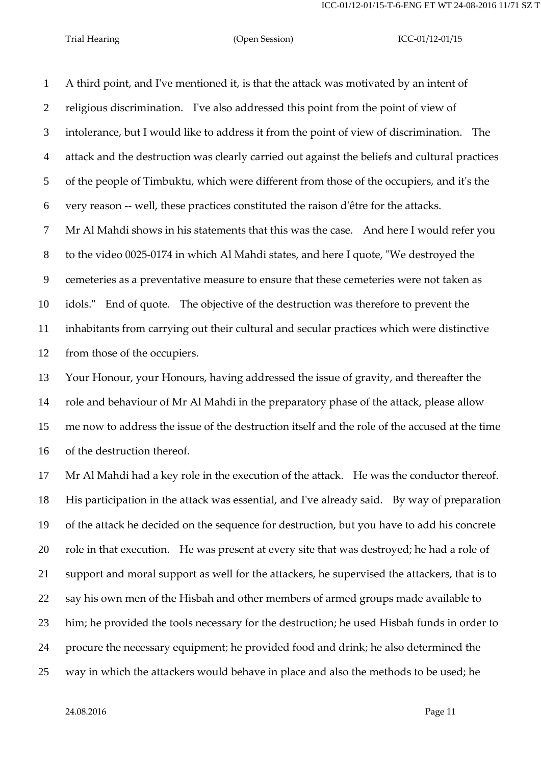A third point, and I've mentioned it, is that the attack was motivated by an intent of religious discrimination. I've also addressed this point from the point of view of intolerance, but I would like to address it from the point of view of discrimination. The attack and the destruction was clearly carried out against the beliefs and cultural practices of the people of Timbuktu, which were different from those of the occupiers, and it's the very reason -- well, these practices constituted the raison d'être for the attacks. Mr Al Mahdi shows in his statements that this was the case. And here I would refer you to the video 0025-0174 in which Al Mahdi states, and here I quote, "We destroyed the cemeteries as a preventative measure to ensure that these cemeteries were not taken as idols." End of quote. The objective of the destruction was therefore to prevent the inhabitants from carrying out their cultural and secular practices which were distinctive from those of the occupiers.

 Your Honour, your Honours, having addressed the issue of gravity, and thereafter the role and behaviour of Mr Al Mahdi in the preparatory phase of the attack, please allow me now to address the issue of the destruction itself and the role of the accused at the time of the destruction thereof.

 Mr Al Mahdi had a key role in the execution of the attack. He was the conductor thereof. His participation in the attack was essential, and I've already said. By way of preparation of the attack he decided on the sequence for destruction, but you have to add his concrete role in that execution. He was present at every site that was destroyed; he had a role of support and moral support as well for the attackers, he supervised the attackers, that is to say his own men of the Hisbah and other members of armed groups made available to him; he provided the tools necessary for the destruction; he used Hisbah funds in order to procure the necessary equipment; he provided food and drink; he also determined the way in which the attackers would behave in place and also the methods to be used; he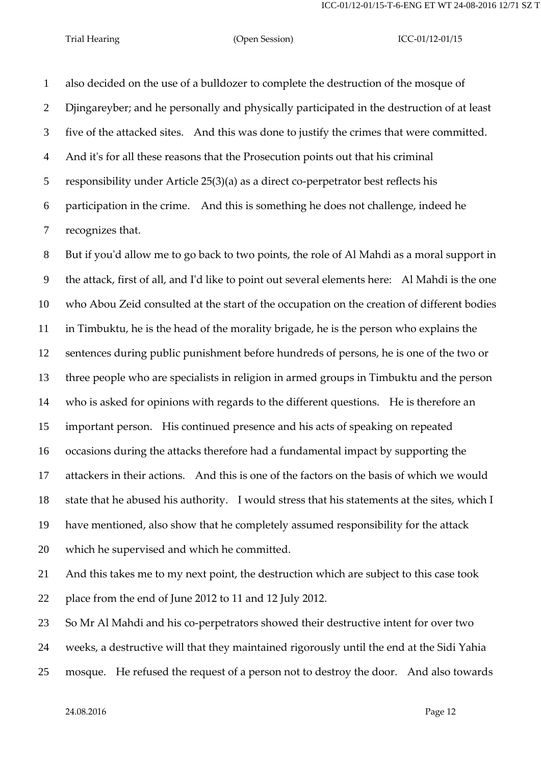also decided on the use of a bulldozer to complete the destruction of the mosque of Djingareyber; and he personally and physically participated in the destruction of at least five of the attacked sites. And this was done to justify the crimes that were committed. And it's for all these reasons that the Prosecution points out that his criminal responsibility under Article 25(3)(a) as a direct co-perpetrator best reflects his participation in the crime. And this is something he does not challenge, indeed he recognizes that.

 But if you'd allow me to go back to two points, the role of Al Mahdi as a moral support in the attack, first of all, and I'd like to point out several elements here: Al Mahdi is the one who Abou Zeid consulted at the start of the occupation on the creation of different bodies in Timbuktu, he is the head of the morality brigade, he is the person who explains the sentences during public punishment before hundreds of persons, he is one of the two or three people who are specialists in religion in armed groups in Timbuktu and the person who is asked for opinions with regards to the different questions. He is therefore an important person. His continued presence and his acts of speaking on repeated occasions during the attacks therefore had a fundamental impact by supporting the attackers in their actions. And this is one of the factors on the basis of which we would state that he abused his authority. I would stress that his statements at the sites, which I have mentioned, also show that he completely assumed responsibility for the attack which he supervised and which he committed.

 And this takes me to my next point, the destruction which are subject to this case took place from the end of June 2012 to 11 and 12 July 2012.

So Mr Al Mahdi and his co-perpetrators showed their destructive intent for over two

weeks, a destructive will that they maintained rigorously until the end at the Sidi Yahia

mosque. He refused the request of a person not to destroy the door. And also towards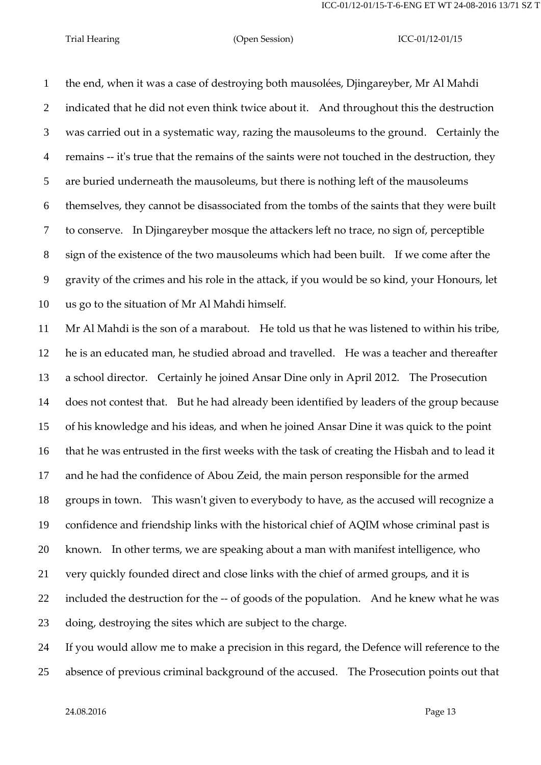the end, when it was a case of destroying both mausolées, Djingareyber, Mr Al Mahdi indicated that he did not even think twice about it. And throughout this the destruction was carried out in a systematic way, razing the mausoleums to the ground. Certainly the remains -- it's true that the remains of the saints were not touched in the destruction, they are buried underneath the mausoleums, but there is nothing left of the mausoleums themselves, they cannot be disassociated from the tombs of the saints that they were built to conserve. In Djingareyber mosque the attackers left no trace, no sign of, perceptible sign of the existence of the two mausoleums which had been built. If we come after the gravity of the crimes and his role in the attack, if you would be so kind, your Honours, let us go to the situation of Mr Al Mahdi himself.

 Mr Al Mahdi is the son of a marabout. He told us that he was listened to within his tribe, he is an educated man, he studied abroad and travelled. He was a teacher and thereafter a school director. Certainly he joined Ansar Dine only in April 2012. The Prosecution does not contest that. But he had already been identified by leaders of the group because of his knowledge and his ideas, and when he joined Ansar Dine it was quick to the point that he was entrusted in the first weeks with the task of creating the Hisbah and to lead it and he had the confidence of Abou Zeid, the main person responsible for the armed groups in town. This wasn't given to everybody to have, as the accused will recognize a confidence and friendship links with the historical chief of AQIM whose criminal past is known. In other terms, we are speaking about a man with manifest intelligence, who very quickly founded direct and close links with the chief of armed groups, and it is included the destruction for the -- of goods of the population. And he knew what he was doing, destroying the sites which are subject to the charge.

 If you would allow me to make a precision in this regard, the Defence will reference to the absence of previous criminal background of the accused. The Prosecution points out that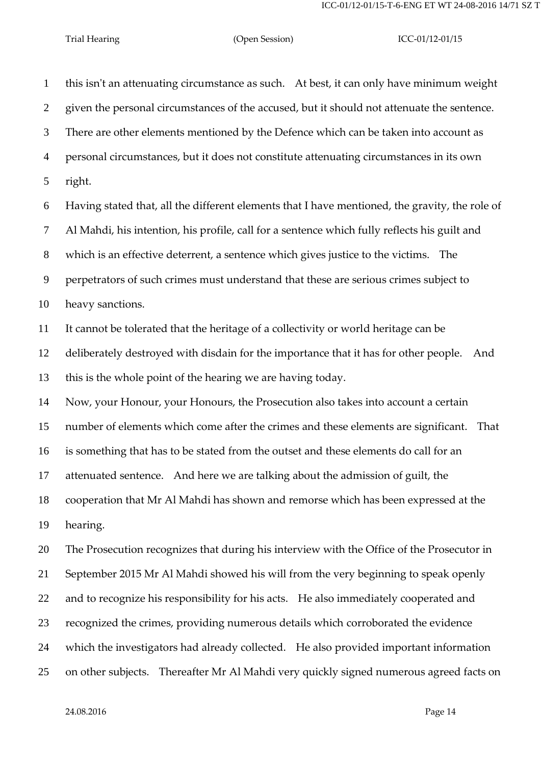this isn't an attenuating circumstance as such. At best, it can only have minimum weight given the personal circumstances of the accused, but it should not attenuate the sentence. There are other elements mentioned by the Defence which can be taken into account as personal circumstances, but it does not constitute attenuating circumstances in its own right. Having stated that, all the different elements that I have mentioned, the gravity, the role of Al Mahdi, his intention, his profile, call for a sentence which fully reflects his guilt and which is an effective deterrent, a sentence which gives justice to the victims. The perpetrators of such crimes must understand that these are serious crimes subject to heavy sanctions. It cannot be tolerated that the heritage of a collectivity or world heritage can be deliberately destroyed with disdain for the importance that it has for other people. And this is the whole point of the hearing we are having today. Now, your Honour, your Honours, the Prosecution also takes into account a certain number of elements which come after the crimes and these elements are significant. That is something that has to be stated from the outset and these elements do call for an attenuated sentence. And here we are talking about the admission of guilt, the cooperation that Mr Al Mahdi has shown and remorse which has been expressed at the hearing. The Prosecution recognizes that during his interview with the Office of the Prosecutor in September 2015 Mr Al Mahdi showed his will from the very beginning to speak openly and to recognize his responsibility for his acts. He also immediately cooperated and recognized the crimes, providing numerous details which corroborated the evidence which the investigators had already collected. He also provided important information

on other subjects. Thereafter Mr Al Mahdi very quickly signed numerous agreed facts on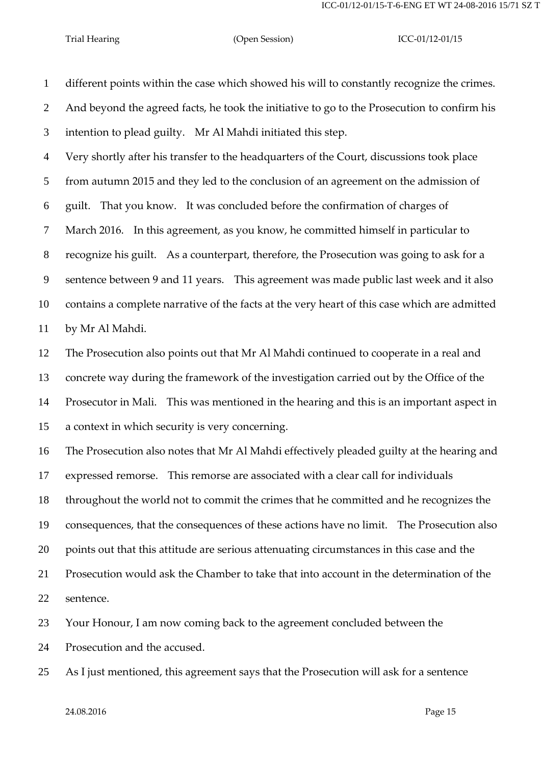different points within the case which showed his will to constantly recognize the crimes. And beyond the agreed facts, he took the initiative to go to the Prosecution to confirm his intention to plead guilty. Mr Al Mahdi initiated this step.

 Very shortly after his transfer to the headquarters of the Court, discussions took place from autumn 2015 and they led to the conclusion of an agreement on the admission of guilt. That you know. It was concluded before the confirmation of charges of March 2016. In this agreement, as you know, he committed himself in particular to recognize his guilt. As a counterpart, therefore, the Prosecution was going to ask for a sentence between 9 and 11 years. This agreement was made public last week and it also contains a complete narrative of the facts at the very heart of this case which are admitted by Mr Al Mahdi.

 The Prosecution also points out that Mr Al Mahdi continued to cooperate in a real and concrete way during the framework of the investigation carried out by the Office of the Prosecutor in Mali. This was mentioned in the hearing and this is an important aspect in a context in which security is very concerning.

 The Prosecution also notes that Mr Al Mahdi effectively pleaded guilty at the hearing and expressed remorse. This remorse are associated with a clear call for individuals throughout the world not to commit the crimes that he committed and he recognizes the consequences, that the consequences of these actions have no limit. The Prosecution also points out that this attitude are serious attenuating circumstances in this case and the Prosecution would ask the Chamber to take that into account in the determination of the sentence.

Your Honour, I am now coming back to the agreement concluded between the

Prosecution and the accused.

As I just mentioned, this agreement says that the Prosecution will ask for a sentence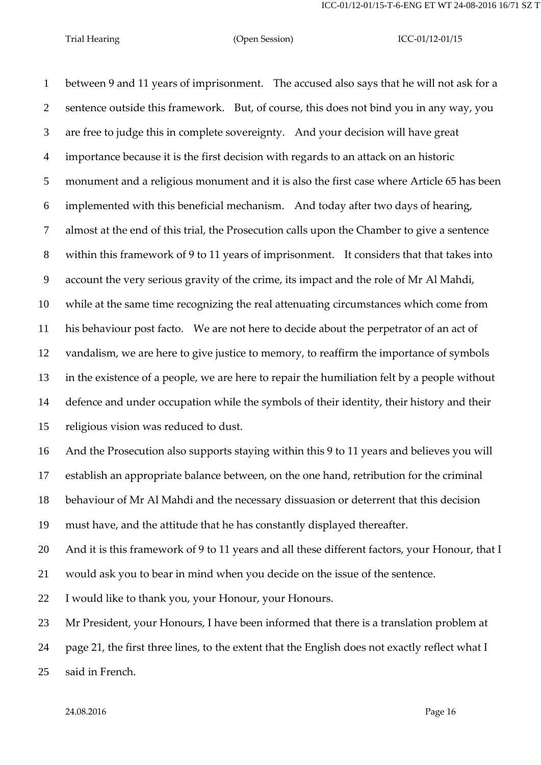between 9 and 11 years of imprisonment. The accused also says that he will not ask for a sentence outside this framework. But, of course, this does not bind you in any way, you are free to judge this in complete sovereignty. And your decision will have great importance because it is the first decision with regards to an attack on an historic monument and a religious monument and it is also the first case where Article 65 has been implemented with this beneficial mechanism. And today after two days of hearing, almost at the end of this trial, the Prosecution calls upon the Chamber to give a sentence within this framework of 9 to 11 years of imprisonment. It considers that that takes into account the very serious gravity of the crime, its impact and the role of Mr Al Mahdi, while at the same time recognizing the real attenuating circumstances which come from his behaviour post facto. We are not here to decide about the perpetrator of an act of vandalism, we are here to give justice to memory, to reaffirm the importance of symbols in the existence of a people, we are here to repair the humiliation felt by a people without defence and under occupation while the symbols of their identity, their history and their religious vision was reduced to dust.

 And the Prosecution also supports staying within this 9 to 11 years and believes you will establish an appropriate balance between, on the one hand, retribution for the criminal behaviour of Mr Al Mahdi and the necessary dissuasion or deterrent that this decision must have, and the attitude that he has constantly displayed thereafter.

20 And it is this framework of 9 to 11 years and all these different factors, your Honour, that I

would ask you to bear in mind when you decide on the issue of the sentence.

I would like to thank you, your Honour, your Honours.

Mr President, your Honours, I have been informed that there is a translation problem at

page 21, the first three lines, to the extent that the English does not exactly reflect what I

said in French.

24.08.2016 Page 16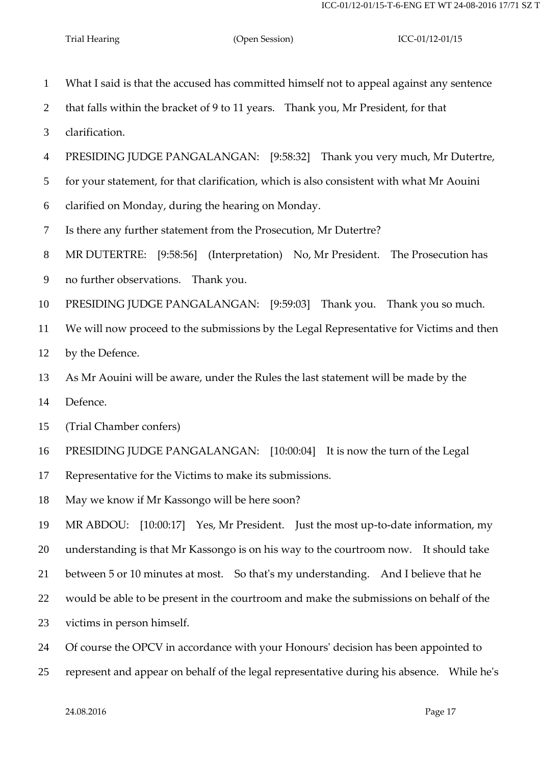- What I said is that the accused has committed himself not to appeal against any sentence that falls within the bracket of 9 to 11 years. Thank you, Mr President, for that clarification. PRESIDING JUDGE PANGALANGAN: [9:58:32] Thank you very much, Mr Dutertre, for your statement, for that clarification, which is also consistent with what Mr Aouini clarified on Monday, during the hearing on Monday. Is there any further statement from the Prosecution, Mr Dutertre? MR DUTERTRE: [9:58:56] (Interpretation) No, Mr President. The Prosecution has no further observations. Thank you. PRESIDING JUDGE PANGALANGAN: [9:59:03] Thank you. Thank you so much. We will now proceed to the submissions by the Legal Representative for Victims and then by the Defence. As Mr Aouini will be aware, under the Rules the last statement will be made by the Defence. (Trial Chamber confers) PRESIDING JUDGE PANGALANGAN: [10:00:04] It is now the turn of the Legal Representative for the Victims to make its submissions. May we know if Mr Kassongo will be here soon? MR ABDOU: [10:00:17] Yes, Mr President. Just the most up-to-date information, my understanding is that Mr Kassongo is on his way to the courtroom now. It should take between 5 or 10 minutes at most. So that's my understanding. And I believe that he would be able to be present in the courtroom and make the submissions on behalf of the victims in person himself. Of course the OPCV in accordance with your Honours' decision has been appointed to
- represent and appear on behalf of the legal representative during his absence. While he's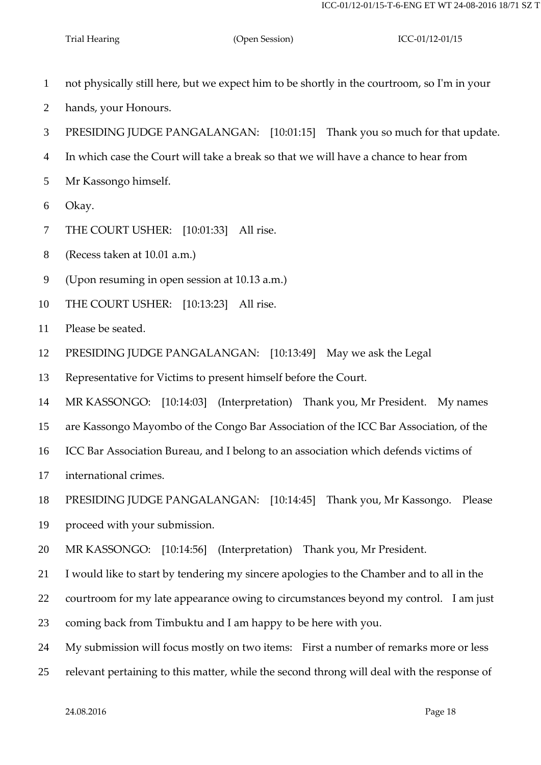- not physically still here, but we expect him to be shortly in the courtroom, so I'm in your
- hands, your Honours.
- PRESIDING JUDGE PANGALANGAN: [10:01:15] Thank you so much for that update.
- In which case the Court will take a break so that we will have a chance to hear from
- Mr Kassongo himself.
- Okay.
- THE COURT USHER: [10:01:33] All rise.
- (Recess taken at 10.01 a.m.)
- (Upon resuming in open session at 10.13 a.m.)
- THE COURT USHER: [10:13:23] All rise.
- Please be seated.
- PRESIDING JUDGE PANGALANGAN: [10:13:49] May we ask the Legal
- Representative for Victims to present himself before the Court.
- MR KASSONGO: [10:14:03] (Interpretation) Thank you, Mr President. My names
- are Kassongo Mayombo of the Congo Bar Association of the ICC Bar Association, of the
- ICC Bar Association Bureau, and I belong to an association which defends victims of
- international crimes.
- PRESIDING JUDGE PANGALANGAN: [10:14:45] Thank you, Mr Kassongo. Please
- proceed with your submission.
- MR KASSONGO: [10:14:56] (Interpretation) Thank you, Mr President.
- I would like to start by tendering my sincere apologies to the Chamber and to all in the
- courtroom for my late appearance owing to circumstances beyond my control. I am just
- coming back from Timbuktu and I am happy to be here with you.
- My submission will focus mostly on two items: First a number of remarks more or less
- relevant pertaining to this matter, while the second throng will deal with the response of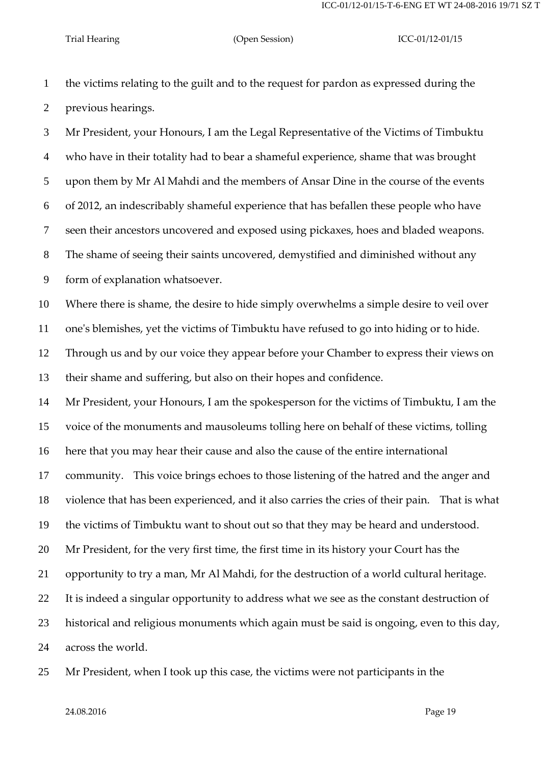ICC-01/12-01/15-T-6-ENG ET WT 24-08-2016 19/71 SZ T

Trial Hearing (Open Session) ICC-01/12-01/15

 the victims relating to the guilt and to the request for pardon as expressed during the previous hearings.

 Mr President, your Honours, I am the Legal Representative of the Victims of Timbuktu who have in their totality had to bear a shameful experience, shame that was brought upon them by Mr Al Mahdi and the members of Ansar Dine in the course of the events of 2012, an indescribably shameful experience that has befallen these people who have seen their ancestors uncovered and exposed using pickaxes, hoes and bladed weapons. The shame of seeing their saints uncovered, demystified and diminished without any form of explanation whatsoever.

 Where there is shame, the desire to hide simply overwhelms a simple desire to veil over one's blemishes, yet the victims of Timbuktu have refused to go into hiding or to hide.

 Through us and by our voice they appear before your Chamber to express their views on their shame and suffering, but also on their hopes and confidence.

 Mr President, your Honours, I am the spokesperson for the victims of Timbuktu, I am the voice of the monuments and mausoleums tolling here on behalf of these victims, tolling

here that you may hear their cause and also the cause of the entire international

community. This voice brings echoes to those listening of the hatred and the anger and

violence that has been experienced, and it also carries the cries of their pain. That is what

the victims of Timbuktu want to shout out so that they may be heard and understood.

Mr President, for the very first time, the first time in its history your Court has the

opportunity to try a man, Mr Al Mahdi, for the destruction of a world cultural heritage.

It is indeed a singular opportunity to address what we see as the constant destruction of

historical and religious monuments which again must be said is ongoing, even to this day,

across the world.

Mr President, when I took up this case, the victims were not participants in the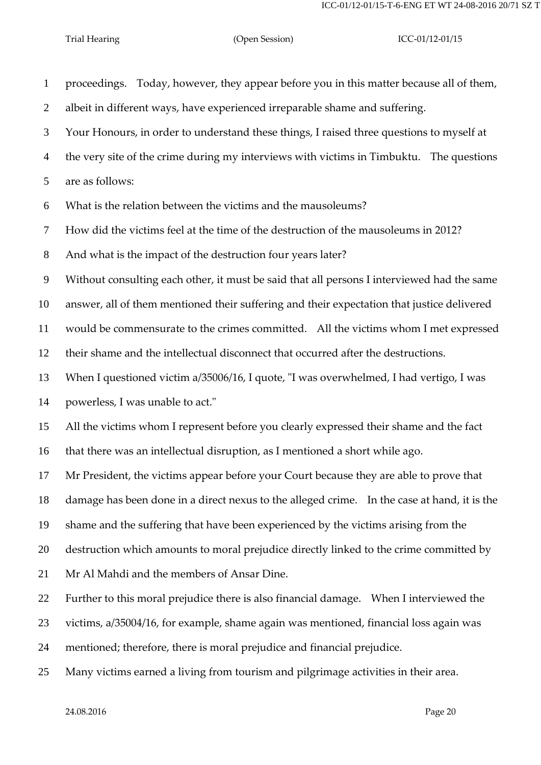| $\mathbf{1}$   | proceedings. Today, however, they appear before you in this matter because all of them,     |
|----------------|---------------------------------------------------------------------------------------------|
| $\overline{2}$ | albeit in different ways, have experienced irreparable shame and suffering.                 |
| 3              | Your Honours, in order to understand these things, I raised three questions to myself at    |
| $\overline{4}$ | the very site of the crime during my interviews with victims in Timbuktu. The questions     |
| 5              | are as follows:                                                                             |
| 6              | What is the relation between the victims and the mausoleums?                                |
| 7              | How did the victims feel at the time of the destruction of the mausoleums in 2012?          |
| 8              | And what is the impact of the destruction four years later?                                 |
| 9              | Without consulting each other, it must be said that all persons I interviewed had the same  |
| 10             | answer, all of them mentioned their suffering and their expectation that justice delivered  |
| 11             | would be commensurate to the crimes committed. All the victims whom I met expressed         |
| 12             | their shame and the intellectual disconnect that occurred after the destructions.           |
| 13             | When I questioned victim a/35006/16, I quote, "I was overwhelmed, I had vertigo, I was      |
| 14             | powerless, I was unable to act."                                                            |
| 15             | All the victims whom I represent before you clearly expressed their shame and the fact      |
| 16             | that there was an intellectual disruption, as I mentioned a short while ago.                |
| 17             | Mr President, the victims appear before your Court because they are able to prove that      |
| 18             | damage has been done in a direct nexus to the alleged crime. In the case at hand, it is the |
| 19             | shame and the suffering that have been experienced by the victims arising from the          |
| 20             | destruction which amounts to moral prejudice directly linked to the crime committed by      |
| 21             | Mr Al Mahdi and the members of Ansar Dine.                                                  |
| 22             | Further to this moral prejudice there is also financial damage. When I interviewed the      |
| 23             | victims, a/35004/16, for example, shame again was mentioned, financial loss again was       |
| 24             | mentioned; therefore, there is moral prejudice and financial prejudice.                     |
| 25             | Many victims earned a living from tourism and pilgrimage activities in their area.          |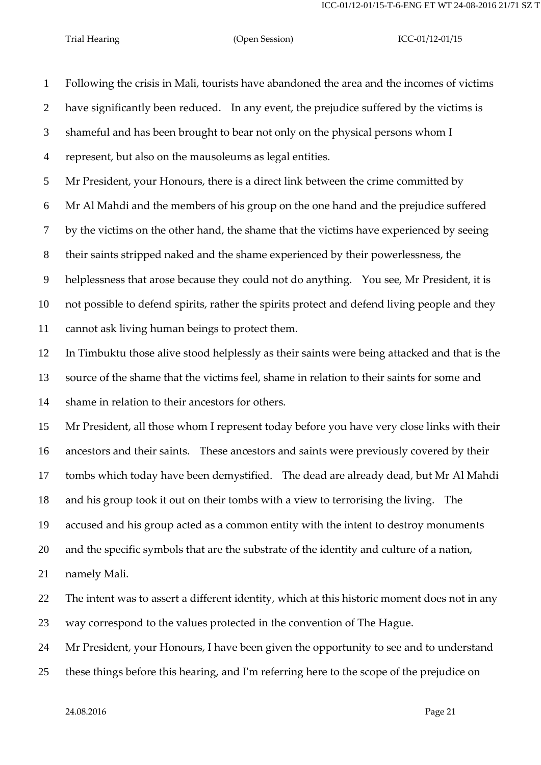Following the crisis in Mali, tourists have abandoned the area and the incomes of victims have significantly been reduced. In any event, the prejudice suffered by the victims is shameful and has been brought to bear not only on the physical persons whom I represent, but also on the mausoleums as legal entities. Mr President, your Honours, there is a direct link between the crime committed by Mr Al Mahdi and the members of his group on the one hand and the prejudice suffered by the victims on the other hand, the shame that the victims have experienced by seeing their saints stripped naked and the shame experienced by their powerlessness, the helplessness that arose because they could not do anything. You see, Mr President, it is not possible to defend spirits, rather the spirits protect and defend living people and they cannot ask living human beings to protect them. In Timbuktu those alive stood helplessly as their saints were being attacked and that is the source of the shame that the victims feel, shame in relation to their saints for some and shame in relation to their ancestors for others. Mr President, all those whom I represent today before you have very close links with their ancestors and their saints. These ancestors and saints were previously covered by their tombs which today have been demystified. The dead are already dead, but Mr Al Mahdi and his group took it out on their tombs with a view to terrorising the living. The accused and his group acted as a common entity with the intent to destroy monuments and the specific symbols that are the substrate of the identity and culture of a nation, namely Mali. The intent was to assert a different identity, which at this historic moment does not in any way correspond to the values protected in the convention of The Hague. Mr President, your Honours, I have been given the opportunity to see and to understand these things before this hearing, and I'm referring here to the scope of the prejudice on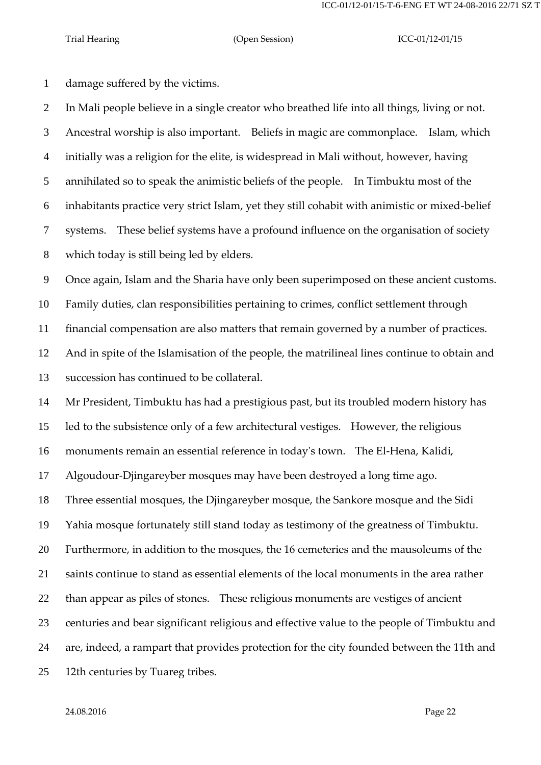damage suffered by the victims.

 In Mali people believe in a single creator who breathed life into all things, living or not. Ancestral worship is also important. Beliefs in magic are commonplace. Islam, which initially was a religion for the elite, is widespread in Mali without, however, having annihilated so to speak the animistic beliefs of the people. In Timbuktu most of the inhabitants practice very strict Islam, yet they still cohabit with animistic or mixed-belief systems. These belief systems have a profound influence on the organisation of society which today is still being led by elders.

Once again, Islam and the Sharia have only been superimposed on these ancient customs.

Family duties, clan responsibilities pertaining to crimes, conflict settlement through

financial compensation are also matters that remain governed by a number of practices.

 And in spite of the Islamisation of the people, the matrilineal lines continue to obtain and succession has continued to be collateral.

 Mr President, Timbuktu has had a prestigious past, but its troubled modern history has led to the subsistence only of a few architectural vestiges. However, the religious

monuments remain an essential reference in today's town. The El-Hena, Kalidi,

Algoudour-Djingareyber mosques may have been destroyed a long time ago.

Three essential mosques, the Djingareyber mosque, the Sankore mosque and the Sidi

Yahia mosque fortunately still stand today as testimony of the greatness of Timbuktu.

Furthermore, in addition to the mosques, the 16 cemeteries and the mausoleums of the

saints continue to stand as essential elements of the local monuments in the area rather

than appear as piles of stones. These religious monuments are vestiges of ancient

centuries and bear significant religious and effective value to the people of Timbuktu and

are, indeed, a rampart that provides protection for the city founded between the 11th and

12th centuries by Tuareg tribes.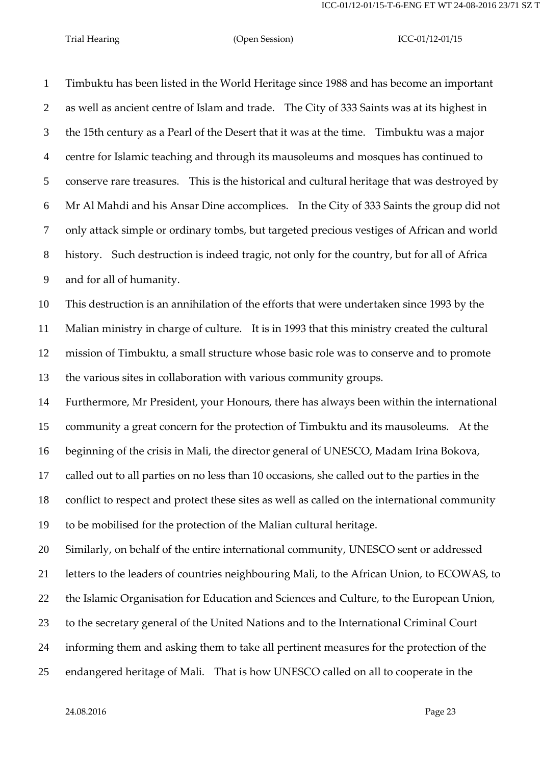Timbuktu has been listed in the World Heritage since 1988 and has become an important as well as ancient centre of Islam and trade. The City of 333 Saints was at its highest in the 15th century as a Pearl of the Desert that it was at the time. Timbuktu was a major centre for Islamic teaching and through its mausoleums and mosques has continued to conserve rare treasures. This is the historical and cultural heritage that was destroyed by Mr Al Mahdi and his Ansar Dine accomplices. In the City of 333 Saints the group did not only attack simple or ordinary tombs, but targeted precious vestiges of African and world history. Such destruction is indeed tragic, not only for the country, but for all of Africa and for all of humanity.

 This destruction is an annihilation of the efforts that were undertaken since 1993 by the Malian ministry in charge of culture. It is in 1993 that this ministry created the cultural mission of Timbuktu, a small structure whose basic role was to conserve and to promote the various sites in collaboration with various community groups.

 Furthermore, Mr President, your Honours, there has always been within the international community a great concern for the protection of Timbuktu and its mausoleums. At the beginning of the crisis in Mali, the director general of UNESCO, Madam Irina Bokova, called out to all parties on no less than 10 occasions, she called out to the parties in the conflict to respect and protect these sites as well as called on the international community to be mobilised for the protection of the Malian cultural heritage.

 Similarly, on behalf of the entire international community, UNESCO sent or addressed letters to the leaders of countries neighbouring Mali, to the African Union, to ECOWAS, to the Islamic Organisation for Education and Sciences and Culture, to the European Union, to the secretary general of the United Nations and to the International Criminal Court informing them and asking them to take all pertinent measures for the protection of the endangered heritage of Mali. That is how UNESCO called on all to cooperate in the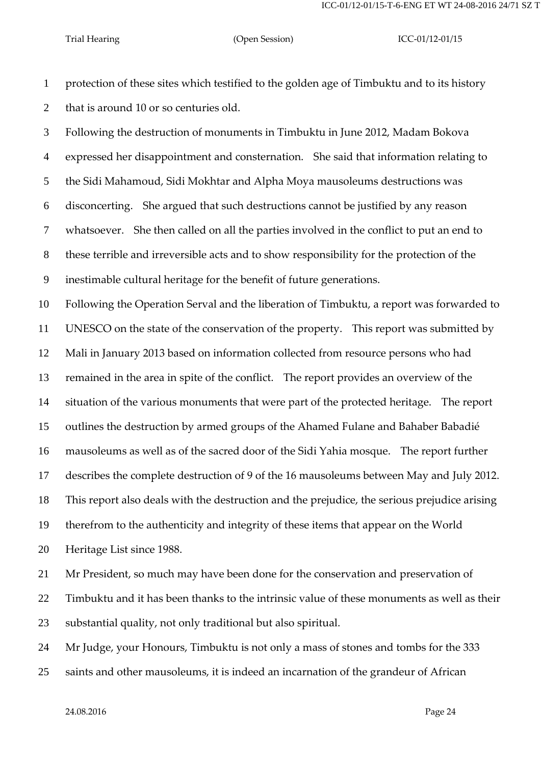protection of these sites which testified to the golden age of Timbuktu and to its history that is around 10 or so centuries old.

 Following the destruction of monuments in Timbuktu in June 2012, Madam Bokova expressed her disappointment and consternation. She said that information relating to the Sidi Mahamoud, Sidi Mokhtar and Alpha Moya mausoleums destructions was disconcerting. She argued that such destructions cannot be justified by any reason whatsoever. She then called on all the parties involved in the conflict to put an end to these terrible and irreversible acts and to show responsibility for the protection of the inestimable cultural heritage for the benefit of future generations.

 Following the Operation Serval and the liberation of Timbuktu, a report was forwarded to UNESCO on the state of the conservation of the property. This report was submitted by Mali in January 2013 based on information collected from resource persons who had remained in the area in spite of the conflict. The report provides an overview of the situation of the various monuments that were part of the protected heritage. The report outlines the destruction by armed groups of the Ahamed Fulane and Bahaber Babadié mausoleums as well as of the sacred door of the Sidi Yahia mosque. The report further describes the complete destruction of 9 of the 16 mausoleums between May and July 2012. This report also deals with the destruction and the prejudice, the serious prejudice arising therefrom to the authenticity and integrity of these items that appear on the World Heritage List since 1988.

 Mr President, so much may have been done for the conservation and preservation of Timbuktu and it has been thanks to the intrinsic value of these monuments as well as their substantial quality, not only traditional but also spiritual.

Mr Judge, your Honours, Timbuktu is not only a mass of stones and tombs for the 333

saints and other mausoleums, it is indeed an incarnation of the grandeur of African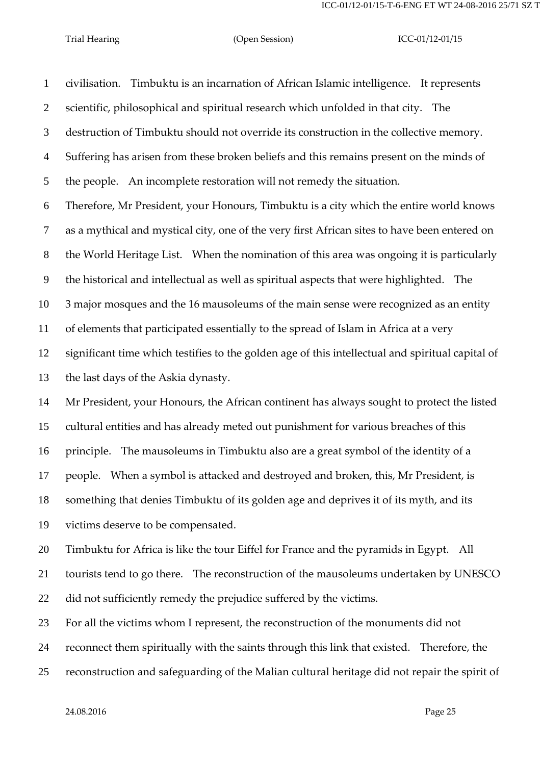civilisation. Timbuktu is an incarnation of African Islamic intelligence. It represents scientific, philosophical and spiritual research which unfolded in that city. The destruction of Timbuktu should not override its construction in the collective memory. Suffering has arisen from these broken beliefs and this remains present on the minds of the people. An incomplete restoration will not remedy the situation. Therefore, Mr President, your Honours, Timbuktu is a city which the entire world knows as a mythical and mystical city, one of the very first African sites to have been entered on the World Heritage List. When the nomination of this area was ongoing it is particularly the historical and intellectual as well as spiritual aspects that were highlighted. The 3 major mosques and the 16 mausoleums of the main sense were recognized as an entity of elements that participated essentially to the spread of Islam in Africa at a very significant time which testifies to the golden age of this intellectual and spiritual capital of the last days of the Askia dynasty. Mr President, your Honours, the African continent has always sought to protect the listed cultural entities and has already meted out punishment for various breaches of this principle. The mausoleums in Timbuktu also are a great symbol of the identity of a people. When a symbol is attacked and destroyed and broken, this, Mr President, is something that denies Timbuktu of its golden age and deprives it of its myth, and its victims deserve to be compensated. Timbuktu for Africa is like the tour Eiffel for France and the pyramids in Egypt. All tourists tend to go there. The reconstruction of the mausoleums undertaken by UNESCO did not sufficiently remedy the prejudice suffered by the victims. For all the victims whom I represent, the reconstruction of the monuments did not reconnect them spiritually with the saints through this link that existed. Therefore, the reconstruction and safeguarding of the Malian cultural heritage did not repair the spirit of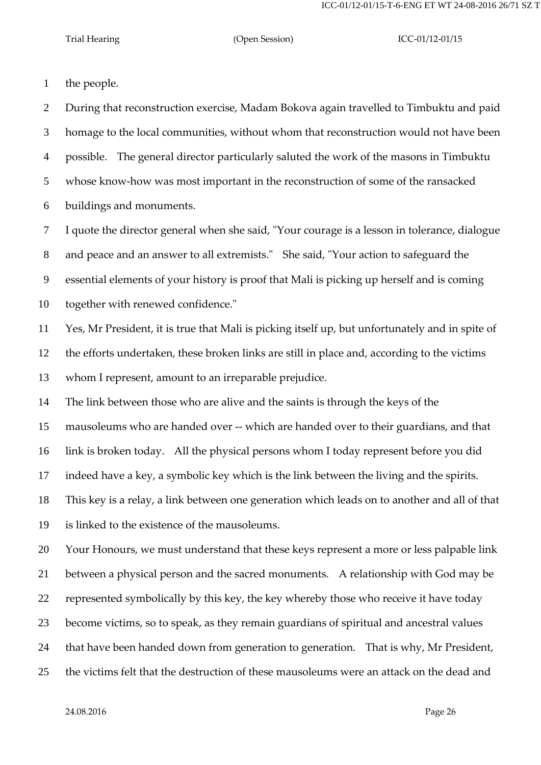the people.

 During that reconstruction exercise, Madam Bokova again travelled to Timbuktu and paid homage to the local communities, without whom that reconstruction would not have been possible. The general director particularly saluted the work of the masons in Timbuktu whose know-how was most important in the reconstruction of some of the ransacked buildings and monuments.

 I quote the director general when she said, "Your courage is a lesson in tolerance, dialogue and peace and an answer to all extremists." She said, "Your action to safeguard the essential elements of your history is proof that Mali is picking up herself and is coming together with renewed confidence."

 Yes, Mr President, it is true that Mali is picking itself up, but unfortunately and in spite of the efforts undertaken, these broken links are still in place and, according to the victims whom I represent, amount to an irreparable prejudice.

The link between those who are alive and the saints is through the keys of the

mausoleums who are handed over -- which are handed over to their guardians, and that

link is broken today. All the physical persons whom I today represent before you did

indeed have a key, a symbolic key which is the link between the living and the spirits.

 This key is a relay, a link between one generation which leads on to another and all of that is linked to the existence of the mausoleums.

 Your Honours, we must understand that these keys represent a more or less palpable link between a physical person and the sacred monuments. A relationship with God may be represented symbolically by this key, the key whereby those who receive it have today become victims, so to speak, as they remain guardians of spiritual and ancestral values that have been handed down from generation to generation. That is why, Mr President, the victims felt that the destruction of these mausoleums were an attack on the dead and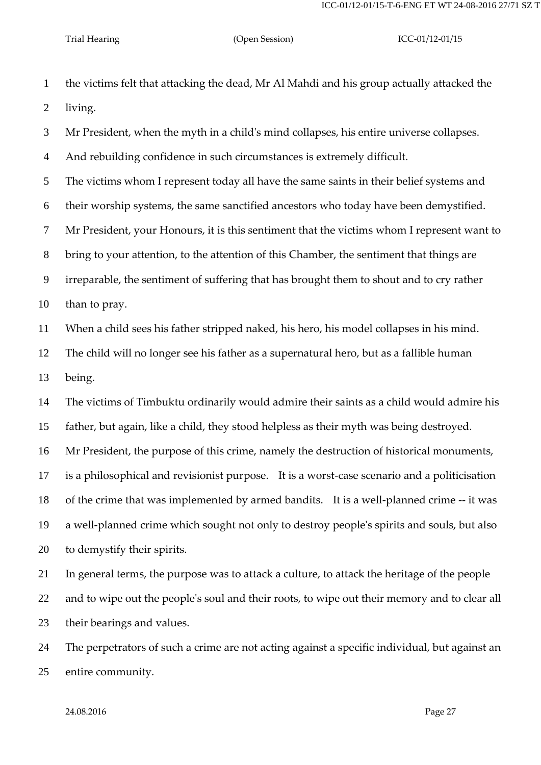the victims felt that attacking the dead, Mr Al Mahdi and his group actually attacked the living.

Mr President, when the myth in a child's mind collapses, his entire universe collapses.

And rebuilding confidence in such circumstances is extremely difficult.

The victims whom I represent today all have the same saints in their belief systems and

their worship systems, the same sanctified ancestors who today have been demystified.

Mr President, your Honours, it is this sentiment that the victims whom I represent want to

bring to your attention, to the attention of this Chamber, the sentiment that things are

irreparable, the sentiment of suffering that has brought them to shout and to cry rather

than to pray.

When a child sees his father stripped naked, his hero, his model collapses in his mind.

The child will no longer see his father as a supernatural hero, but as a fallible human

being.

 The victims of Timbuktu ordinarily would admire their saints as a child would admire his father, but again, like a child, they stood helpless as their myth was being destroyed.

Mr President, the purpose of this crime, namely the destruction of historical monuments,

is a philosophical and revisionist purpose. It is a worst-case scenario and a politicisation

of the crime that was implemented by armed bandits. It is a well-planned crime -- it was

 a well-planned crime which sought not only to destroy people's spirits and souls, but also to demystify their spirits.

 In general terms, the purpose was to attack a culture, to attack the heritage of the people and to wipe out the people's soul and their roots, to wipe out their memory and to clear all their bearings and values.

 The perpetrators of such a crime are not acting against a specific individual, but against an entire community.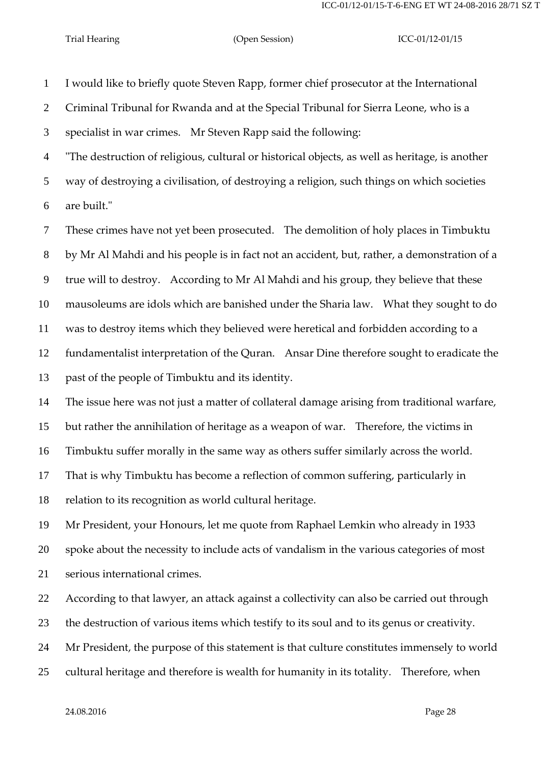I would like to briefly quote Steven Rapp, former chief prosecutor at the International Criminal Tribunal for Rwanda and at the Special Tribunal for Sierra Leone, who is a specialist in war crimes. Mr Steven Rapp said the following: "The destruction of religious, cultural or historical objects, as well as heritage, is another

 way of destroying a civilisation, of destroying a religion, such things on which societies are built."

 These crimes have not yet been prosecuted. The demolition of holy places in Timbuktu by Mr Al Mahdi and his people is in fact not an accident, but, rather, a demonstration of a true will to destroy. According to Mr Al Mahdi and his group, they believe that these mausoleums are idols which are banished under the Sharia law. What they sought to do was to destroy items which they believed were heretical and forbidden according to a fundamentalist interpretation of the Quran. Ansar Dine therefore sought to eradicate the past of the people of Timbuktu and its identity.

The issue here was not just a matter of collateral damage arising from traditional warfare,

but rather the annihilation of heritage as a weapon of war. Therefore, the victims in

Timbuktu suffer morally in the same way as others suffer similarly across the world.

That is why Timbuktu has become a reflection of common suffering, particularly in

relation to its recognition as world cultural heritage.

Mr President, your Honours, let me quote from Raphael Lemkin who already in 1933

spoke about the necessity to include acts of vandalism in the various categories of most

serious international crimes.

According to that lawyer, an attack against a collectivity can also be carried out through

the destruction of various items which testify to its soul and to its genus or creativity.

Mr President, the purpose of this statement is that culture constitutes immensely to world

cultural heritage and therefore is wealth for humanity in its totality. Therefore, when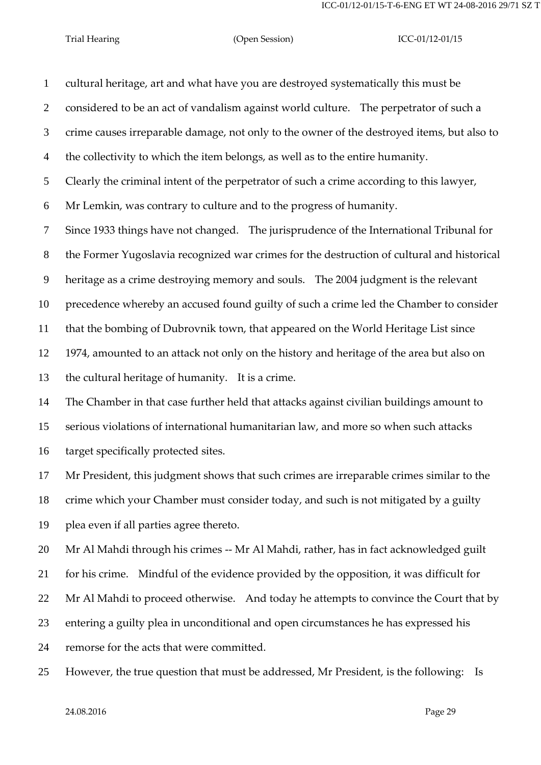cultural heritage, art and what have you are destroyed systematically this must be considered to be an act of vandalism against world culture. The perpetrator of such a crime causes irreparable damage, not only to the owner of the destroyed items, but also to the collectivity to which the item belongs, as well as to the entire humanity. Clearly the criminal intent of the perpetrator of such a crime according to this lawyer, Mr Lemkin, was contrary to culture and to the progress of humanity. Since 1933 things have not changed. The jurisprudence of the International Tribunal for the Former Yugoslavia recognized war crimes for the destruction of cultural and historical heritage as a crime destroying memory and souls. The 2004 judgment is the relevant precedence whereby an accused found guilty of such a crime led the Chamber to consider that the bombing of Dubrovnik town, that appeared on the World Heritage List since 1974, amounted to an attack not only on the history and heritage of the area but also on the cultural heritage of humanity. It is a crime. The Chamber in that case further held that attacks against civilian buildings amount to serious violations of international humanitarian law, and more so when such attacks target specifically protected sites. Mr President, this judgment shows that such crimes are irreparable crimes similar to the crime which your Chamber must consider today, and such is not mitigated by a guilty plea even if all parties agree thereto. 20 Mr Al Mahdi through his crimes -- Mr Al Mahdi, rather, has in fact acknowledged guilt for his crime. Mindful of the evidence provided by the opposition, it was difficult for 22 Mr Al Mahdi to proceed otherwise. And today he attempts to convince the Court that by entering a guilty plea in unconditional and open circumstances he has expressed his

remorse for the acts that were committed.

However, the true question that must be addressed, Mr President, is the following: Is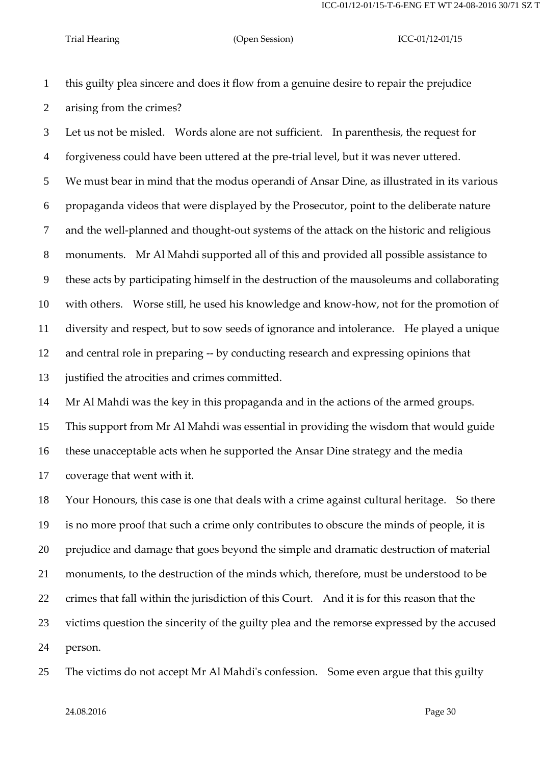this guilty plea sincere and does it flow from a genuine desire to repair the prejudice arising from the crimes?

 Let us not be misled. Words alone are not sufficient. In parenthesis, the request for forgiveness could have been uttered at the pre-trial level, but it was never uttered. We must bear in mind that the modus operandi of Ansar Dine, as illustrated in its various propaganda videos that were displayed by the Prosecutor, point to the deliberate nature and the well-planned and thought-out systems of the attack on the historic and religious monuments. Mr Al Mahdi supported all of this and provided all possible assistance to these acts by participating himself in the destruction of the mausoleums and collaborating with others. Worse still, he used his knowledge and know-how, not for the promotion of diversity and respect, but to sow seeds of ignorance and intolerance. He played a unique and central role in preparing -- by conducting research and expressing opinions that justified the atrocities and crimes committed.

Mr Al Mahdi was the key in this propaganda and in the actions of the armed groups.

This support from Mr Al Mahdi was essential in providing the wisdom that would guide

these unacceptable acts when he supported the Ansar Dine strategy and the media

coverage that went with it.

 Your Honours, this case is one that deals with a crime against cultural heritage. So there is no more proof that such a crime only contributes to obscure the minds of people, it is prejudice and damage that goes beyond the simple and dramatic destruction of material monuments, to the destruction of the minds which, therefore, must be understood to be crimes that fall within the jurisdiction of this Court. And it is for this reason that the victims question the sincerity of the guilty plea and the remorse expressed by the accused person.

The victims do not accept Mr Al Mahdi's confession. Some even argue that this guilty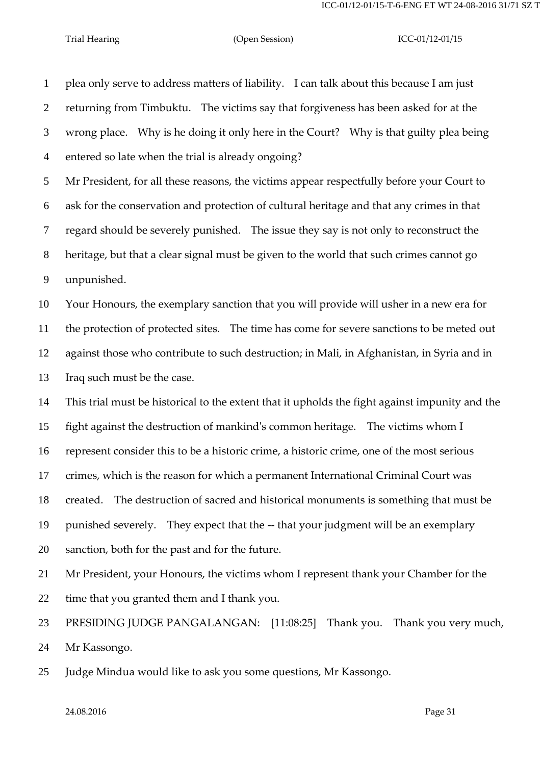plea only serve to address matters of liability. I can talk about this because I am just returning from Timbuktu. The victims say that forgiveness has been asked for at the wrong place. Why is he doing it only here in the Court? Why is that guilty plea being entered so late when the trial is already ongoing?

 Mr President, for all these reasons, the victims appear respectfully before your Court to ask for the conservation and protection of cultural heritage and that any crimes in that regard should be severely punished. The issue they say is not only to reconstruct the heritage, but that a clear signal must be given to the world that such crimes cannot go unpunished.

 Your Honours, the exemplary sanction that you will provide will usher in a new era for the protection of protected sites. The time has come for severe sanctions to be meted out against those who contribute to such destruction; in Mali, in Afghanistan, in Syria and in Iraq such must be the case.

This trial must be historical to the extent that it upholds the fight against impunity and the

fight against the destruction of mankind's common heritage. The victims whom I

represent consider this to be a historic crime, a historic crime, one of the most serious

crimes, which is the reason for which a permanent International Criminal Court was

created. The destruction of sacred and historical monuments is something that must be

 punished severely. They expect that the -- that your judgment will be an exemplary sanction, both for the past and for the future.

 Mr President, your Honours, the victims whom I represent thank your Chamber for the time that you granted them and I thank you.

 PRESIDING JUDGE PANGALANGAN: [11:08:25] Thank you. Thank you very much, Mr Kassongo.

Judge Mindua would like to ask you some questions, Mr Kassongo.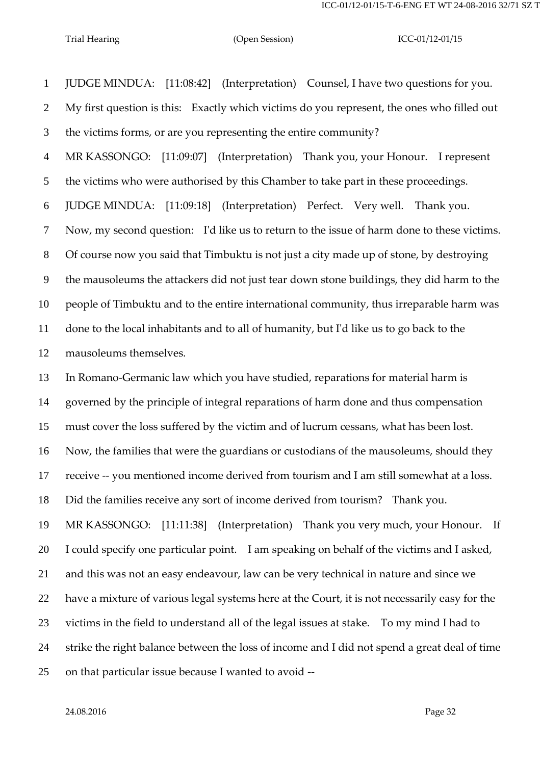JUDGE MINDUA: [11:08:42] (Interpretation) Counsel, I have two questions for you. My first question is this: Exactly which victims do you represent, the ones who filled out the victims forms, or are you representing the entire community? MR KASSONGO: [11:09:07] (Interpretation) Thank you, your Honour. I represent the victims who were authorised by this Chamber to take part in these proceedings. JUDGE MINDUA: [11:09:18] (Interpretation) Perfect. Very well. Thank you. Now, my second question: I'd like us to return to the issue of harm done to these victims. Of course now you said that Timbuktu is not just a city made up of stone, by destroying the mausoleums the attackers did not just tear down stone buildings, they did harm to the people of Timbuktu and to the entire international community, thus irreparable harm was done to the local inhabitants and to all of humanity, but I'd like us to go back to the mausoleums themselves.

 In Romano-Germanic law which you have studied, reparations for material harm is governed by the principle of integral reparations of harm done and thus compensation must cover the loss suffered by the victim and of lucrum cessans, what has been lost. Now, the families that were the guardians or custodians of the mausoleums, should they receive -- you mentioned income derived from tourism and I am still somewhat at a loss. Did the families receive any sort of income derived from tourism? Thank you. MR KASSONGO: [11:11:38] (Interpretation) Thank you very much, your Honour. If I could specify one particular point. I am speaking on behalf of the victims and I asked, and this was not an easy endeavour, law can be very technical in nature and since we have a mixture of various legal systems here at the Court, it is not necessarily easy for the victims in the field to understand all of the legal issues at stake. To my mind I had to strike the right balance between the loss of income and I did not spend a great deal of time on that particular issue because I wanted to avoid --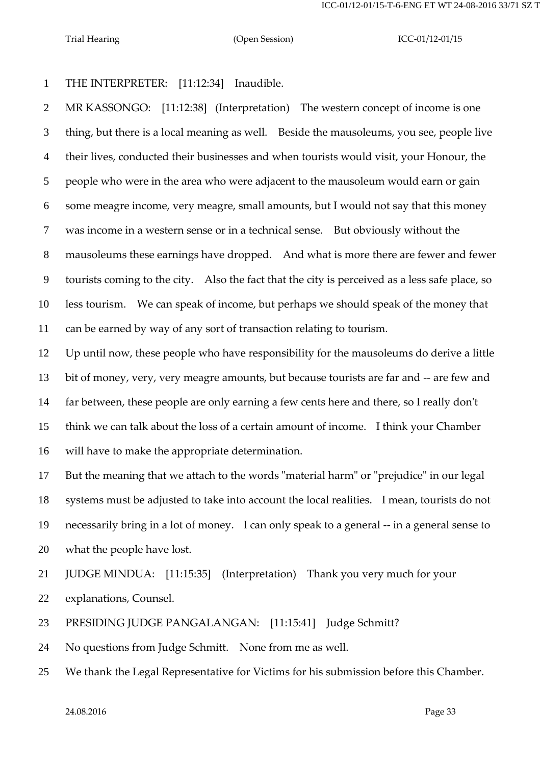THE INTERPRETER: [11:12:34] Inaudible.

 MR KASSONGO: [11:12:38] (Interpretation) The western concept of income is one thing, but there is a local meaning as well. Beside the mausoleums, you see, people live their lives, conducted their businesses and when tourists would visit, your Honour, the people who were in the area who were adjacent to the mausoleum would earn or gain some meagre income, very meagre, small amounts, but I would not say that this money was income in a western sense or in a technical sense. But obviously without the mausoleums these earnings have dropped. And what is more there are fewer and fewer tourists coming to the city. Also the fact that the city is perceived as a less safe place, so less tourism. We can speak of income, but perhaps we should speak of the money that can be earned by way of any sort of transaction relating to tourism.

 Up until now, these people who have responsibility for the mausoleums do derive a little bit of money, very, very meagre amounts, but because tourists are far and -- are few and far between, these people are only earning a few cents here and there, so I really don't think we can talk about the loss of a certain amount of income. I think your Chamber will have to make the appropriate determination.

 But the meaning that we attach to the words "material harm" or "prejudice" in our legal systems must be adjusted to take into account the local realities. I mean, tourists do not necessarily bring in a lot of money. I can only speak to a general -- in a general sense to what the people have lost.

JUDGE MINDUA: [11:15:35] (Interpretation) Thank you very much for your

explanations, Counsel.

PRESIDING JUDGE PANGALANGAN: [11:15:41] Judge Schmitt?

No questions from Judge Schmitt. None from me as well.

We thank the Legal Representative for Victims for his submission before this Chamber.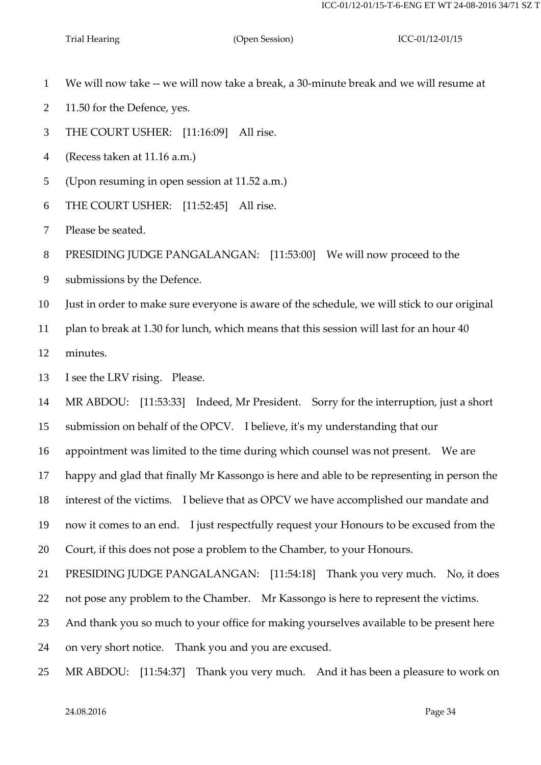- We will now take -- we will now take a break, a 30-minute break and we will resume at
- 2 11.50 for the Defence, yes.
- THE COURT USHER: [11:16:09] All rise.
- (Recess taken at 11.16 a.m.)
- (Upon resuming in open session at 11.52 a.m.)
- THE COURT USHER: [11:52:45] All rise.
- Please be seated.

PRESIDING JUDGE PANGALANGAN: [11:53:00] We will now proceed to the

submissions by the Defence.

Just in order to make sure everyone is aware of the schedule, we will stick to our original

plan to break at 1.30 for lunch, which means that this session will last for an hour 40

minutes.

I see the LRV rising. Please.

MR ABDOU: [11:53:33] Indeed, Mr President. Sorry for the interruption, just a short

submission on behalf of the OPCV. I believe, it's my understanding that our

appointment was limited to the time during which counsel was not present. We are

happy and glad that finally Mr Kassongo is here and able to be representing in person the

interest of the victims. I believe that as OPCV we have accomplished our mandate and

now it comes to an end. I just respectfully request your Honours to be excused from the

Court, if this does not pose a problem to the Chamber, to your Honours.

PRESIDING JUDGE PANGALANGAN: [11:54:18] Thank you very much. No, it does

not pose any problem to the Chamber. Mr Kassongo is here to represent the victims.

And thank you so much to your office for making yourselves available to be present here

on very short notice. Thank you and you are excused.

MR ABDOU: [11:54:37] Thank you very much. And it has been a pleasure to work on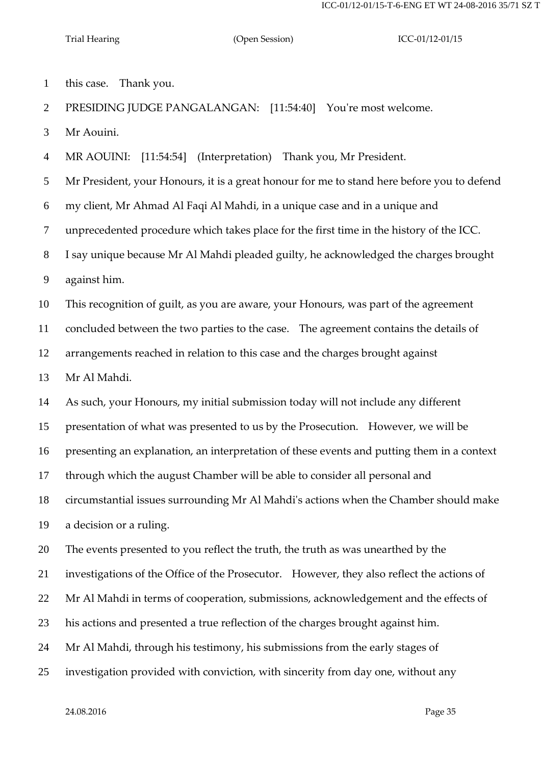this case. Thank you.

PRESIDING JUDGE PANGALANGAN: [11:54:40] You're most welcome.

Mr Aouini.

MR AOUINI: [11:54:54] (Interpretation) Thank you, Mr President.

Mr President, your Honours, it is a great honour for me to stand here before you to defend

my client, Mr Ahmad Al Faqi Al Mahdi, in a unique case and in a unique and

unprecedented procedure which takes place for the first time in the history of the ICC.

I say unique because Mr Al Mahdi pleaded guilty, he acknowledged the charges brought

against him.

This recognition of guilt, as you are aware, your Honours, was part of the agreement

concluded between the two parties to the case. The agreement contains the details of

arrangements reached in relation to this case and the charges brought against

Mr Al Mahdi.

As such, your Honours, my initial submission today will not include any different

presentation of what was presented to us by the Prosecution. However, we will be

presenting an explanation, an interpretation of these events and putting them in a context

through which the august Chamber will be able to consider all personal and

circumstantial issues surrounding Mr Al Mahdi's actions when the Chamber should make

a decision or a ruling.

The events presented to you reflect the truth, the truth as was unearthed by the

investigations of the Office of the Prosecutor. However, they also reflect the actions of

Mr Al Mahdi in terms of cooperation, submissions, acknowledgement and the effects of

his actions and presented a true reflection of the charges brought against him.

Mr Al Mahdi, through his testimony, his submissions from the early stages of

investigation provided with conviction, with sincerity from day one, without any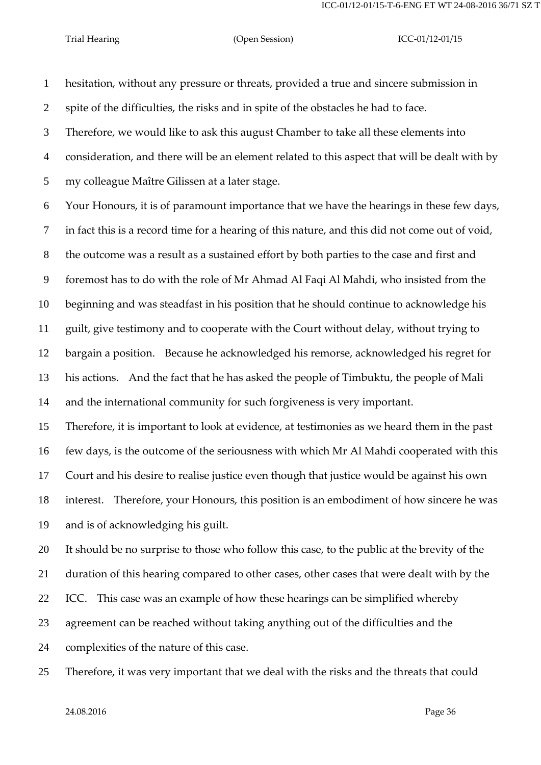hesitation, without any pressure or threats, provided a true and sincere submission in

spite of the difficulties, the risks and in spite of the obstacles he had to face.

Therefore, we would like to ask this august Chamber to take all these elements into

consideration, and there will be an element related to this aspect that will be dealt with by

my colleague Maître Gilissen at a later stage.

Your Honours, it is of paramount importance that we have the hearings in these few days,

in fact this is a record time for a hearing of this nature, and this did not come out of void,

the outcome was a result as a sustained effort by both parties to the case and first and

foremost has to do with the role of Mr Ahmad Al Faqi Al Mahdi, who insisted from the

beginning and was steadfast in his position that he should continue to acknowledge his

guilt, give testimony and to cooperate with the Court without delay, without trying to

bargain a position. Because he acknowledged his remorse, acknowledged his regret for

 his actions. And the fact that he has asked the people of Timbuktu, the people of Mali and the international community for such forgiveness is very important.

 Therefore, it is important to look at evidence, at testimonies as we heard them in the past few days, is the outcome of the seriousness with which Mr Al Mahdi cooperated with this Court and his desire to realise justice even though that justice would be against his own interest. Therefore, your Honours, this position is an embodiment of how sincere he was

and is of acknowledging his guilt.

complexities of the nature of this case.

 It should be no surprise to those who follow this case, to the public at the brevity of the duration of this hearing compared to other cases, other cases that were dealt with by the ICC. This case was an example of how these hearings can be simplified whereby agreement can be reached without taking anything out of the difficulties and the

Therefore, it was very important that we deal with the risks and the threats that could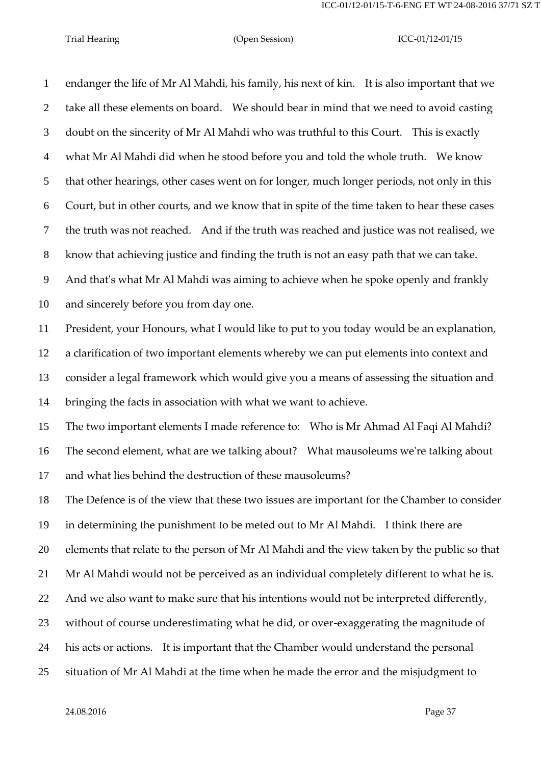endanger the life of Mr Al Mahdi, his family, his next of kin. It is also important that we take all these elements on board. We should bear in mind that we need to avoid casting doubt on the sincerity of Mr Al Mahdi who was truthful to this Court. This is exactly what Mr Al Mahdi did when he stood before you and told the whole truth. We know that other hearings, other cases went on for longer, much longer periods, not only in this Court, but in other courts, and we know that in spite of the time taken to hear these cases the truth was not reached. And if the truth was reached and justice was not realised, we know that achieving justice and finding the truth is not an easy path that we can take. And that's what Mr Al Mahdi was aiming to achieve when he spoke openly and frankly and sincerely before you from day one. President, your Honours, what I would like to put to you today would be an explanation, a clarification of two important elements whereby we can put elements into context and consider a legal framework which would give you a means of assessing the situation and bringing the facts in association with what we want to achieve. The two important elements I made reference to: Who is Mr Ahmad Al Faqi Al Mahdi? The second element, what are we talking about? What mausoleums we're talking about and what lies behind the destruction of these mausoleums? The Defence is of the view that these two issues are important for the Chamber to consider in determining the punishment to be meted out to Mr Al Mahdi. I think there are elements that relate to the person of Mr Al Mahdi and the view taken by the public so that Mr Al Mahdi would not be perceived as an individual completely different to what he is. And we also want to make sure that his intentions would not be interpreted differently, without of course underestimating what he did, or over-exaggerating the magnitude of his acts or actions. It is important that the Chamber would understand the personal situation of Mr Al Mahdi at the time when he made the error and the misjudgment to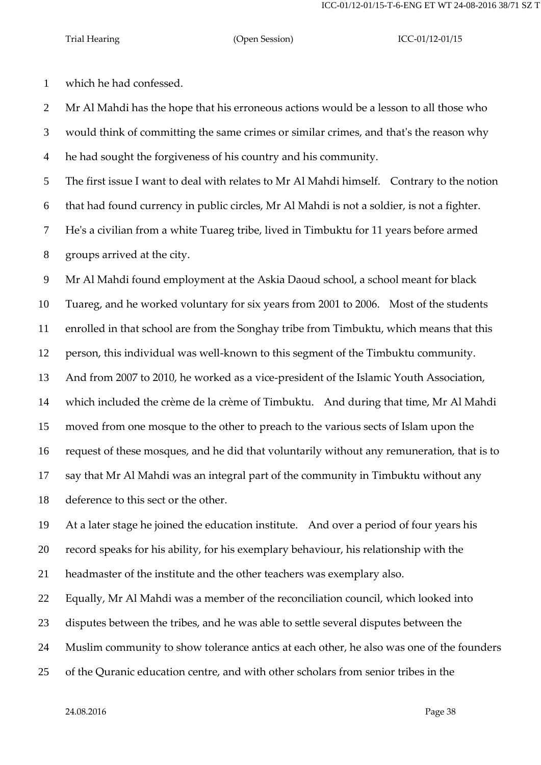ICC-01/12-01/15-T-6-ENG ET WT 24-08-2016 38/71 SZ T

which he had confessed.

 Mr Al Mahdi has the hope that his erroneous actions would be a lesson to all those who would think of committing the same crimes or similar crimes, and that's the reason why he had sought the forgiveness of his country and his community.

The first issue I want to deal with relates to Mr Al Mahdi himself. Contrary to the notion

that had found currency in public circles, Mr Al Mahdi is not a soldier, is not a fighter.

He's a civilian from a white Tuareg tribe, lived in Timbuktu for 11 years before armed

groups arrived at the city.

Mr Al Mahdi found employment at the Askia Daoud school, a school meant for black

Tuareg, and he worked voluntary for six years from 2001 to 2006. Most of the students

enrolled in that school are from the Songhay tribe from Timbuktu, which means that this

person, this individual was well-known to this segment of the Timbuktu community.

And from 2007 to 2010, he worked as a vice-president of the Islamic Youth Association,

which included the crème de la crème of Timbuktu. And during that time, Mr Al Mahdi

moved from one mosque to the other to preach to the various sects of Islam upon the

request of these mosques, and he did that voluntarily without any remuneration, that is to

say that Mr Al Mahdi was an integral part of the community in Timbuktu without any

deference to this sect or the other.

At a later stage he joined the education institute. And over a period of four years his

record speaks for his ability, for his exemplary behaviour, his relationship with the

headmaster of the institute and the other teachers was exemplary also.

Equally, Mr Al Mahdi was a member of the reconciliation council, which looked into

disputes between the tribes, and he was able to settle several disputes between the

Muslim community to show tolerance antics at each other, he also was one of the founders

of the Quranic education centre, and with other scholars from senior tribes in the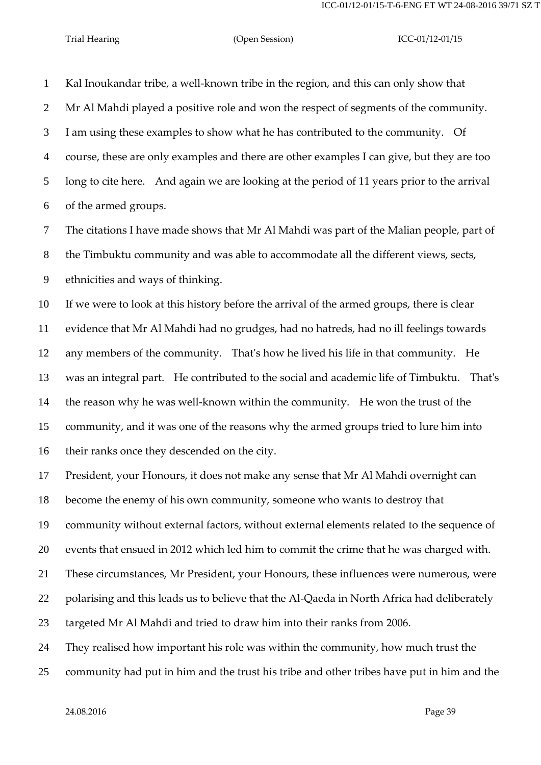Kal Inoukandar tribe, a well-known tribe in the region, and this can only show that Mr Al Mahdi played a positive role and won the respect of segments of the community. I am using these examples to show what he has contributed to the community. Of course, these are only examples and there are other examples I can give, but they are too long to cite here. And again we are looking at the period of 11 years prior to the arrival of the armed groups.

 The citations I have made shows that Mr Al Mahdi was part of the Malian people, part of the Timbuktu community and was able to accommodate all the different views, sects, ethnicities and ways of thinking.

 If we were to look at this history before the arrival of the armed groups, there is clear evidence that Mr Al Mahdi had no grudges, had no hatreds, had no ill feelings towards any members of the community. That's how he lived his life in that community. He was an integral part. He contributed to the social and academic life of Timbuktu. That's the reason why he was well-known within the community. He won the trust of the community, and it was one of the reasons why the armed groups tried to lure him into their ranks once they descended on the city.

President, your Honours, it does not make any sense that Mr Al Mahdi overnight can

become the enemy of his own community, someone who wants to destroy that

community without external factors, without external elements related to the sequence of

events that ensued in 2012 which led him to commit the crime that he was charged with.

These circumstances, Mr President, your Honours, these influences were numerous, were

22 polarising and this leads us to believe that the Al-Qaeda in North Africa had deliberately

targeted Mr Al Mahdi and tried to draw him into their ranks from 2006.

They realised how important his role was within the community, how much trust the

community had put in him and the trust his tribe and other tribes have put in him and the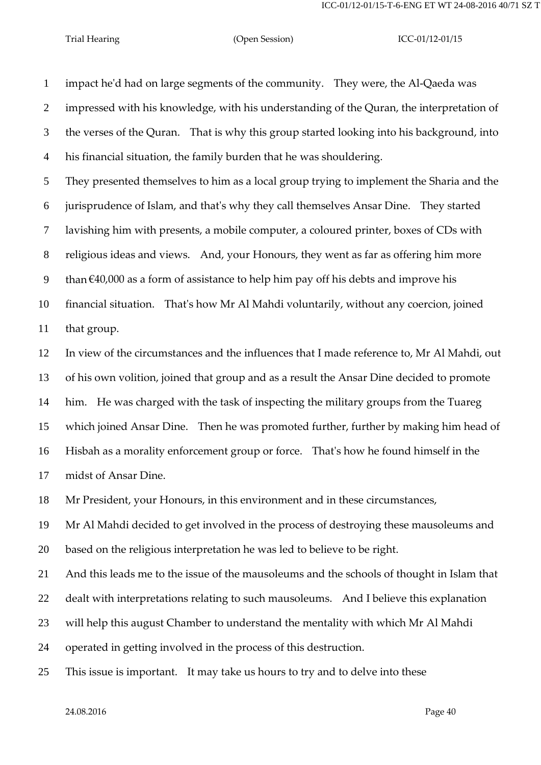impact he'd had on large segments of the community. They were, the Al-Qaeda was impressed with his knowledge, with his understanding of the Quran, the interpretation of the verses of the Quran. That is why this group started looking into his background, into his financial situation, the family burden that he was shouldering.

 They presented themselves to him as a local group trying to implement the Sharia and the jurisprudence of Islam, and that's why they call themselves Ansar Dine. They started lavishing him with presents, a mobile computer, a coloured printer, boxes of CDs with religious ideas and views. And, your Honours, they went as far as offering him more 9 than  $€40,000$  as a form of assistance to help him pay off his debts and improve his financial situation. That's how Mr Al Mahdi voluntarily, without any coercion, joined

that group.

 In view of the circumstances and the influences that I made reference to, Mr Al Mahdi, out of his own volition, joined that group and as a result the Ansar Dine decided to promote him. He was charged with the task of inspecting the military groups from the Tuareg which joined Ansar Dine. Then he was promoted further, further by making him head of Hisbah as a morality enforcement group or force. That's how he found himself in the midst of Ansar Dine.

Mr President, your Honours, in this environment and in these circumstances,

 Mr Al Mahdi decided to get involved in the process of destroying these mausoleums and based on the religious interpretation he was led to believe to be right.

And this leads me to the issue of the mausoleums and the schools of thought in Islam that

dealt with interpretations relating to such mausoleums. And I believe this explanation

will help this august Chamber to understand the mentality with which Mr Al Mahdi

operated in getting involved in the process of this destruction.

This issue is important. It may take us hours to try and to delve into these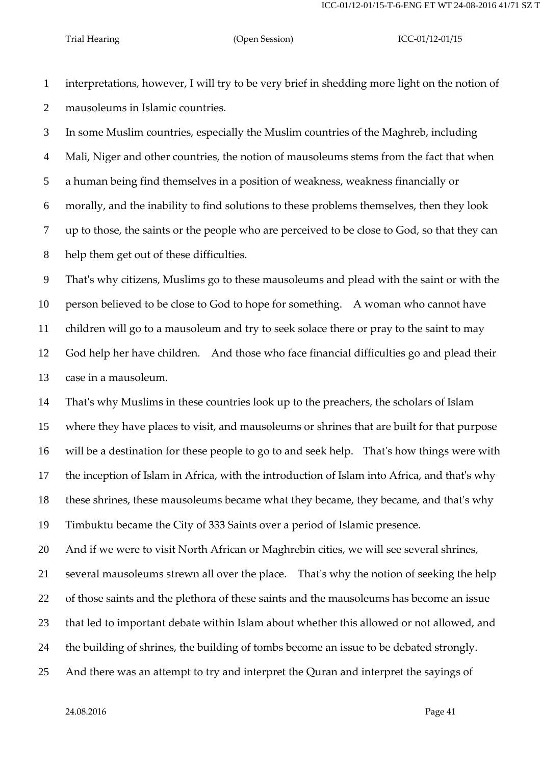interpretations, however, I will try to be very brief in shedding more light on the notion of mausoleums in Islamic countries.

 In some Muslim countries, especially the Muslim countries of the Maghreb, including Mali, Niger and other countries, the notion of mausoleums stems from the fact that when a human being find themselves in a position of weakness, weakness financially or morally, and the inability to find solutions to these problems themselves, then they look up to those, the saints or the people who are perceived to be close to God, so that they can help them get out of these difficulties.

 That's why citizens, Muslims go to these mausoleums and plead with the saint or with the person believed to be close to God to hope for something. A woman who cannot have children will go to a mausoleum and try to seek solace there or pray to the saint to may God help her have children. And those who face financial difficulties go and plead their case in a mausoleum.

 That's why Muslims in these countries look up to the preachers, the scholars of Islam where they have places to visit, and mausoleums or shrines that are built for that purpose will be a destination for these people to go to and seek help. That's how things were with the inception of Islam in Africa, with the introduction of Islam into Africa, and that's why these shrines, these mausoleums became what they became, they became, and that's why Timbuktu became the City of 333 Saints over a period of Islamic presence.

And if we were to visit North African or Maghrebin cities, we will see several shrines,

several mausoleums strewn all over the place. That's why the notion of seeking the help

of those saints and the plethora of these saints and the mausoleums has become an issue

that led to important debate within Islam about whether this allowed or not allowed, and

the building of shrines, the building of tombs become an issue to be debated strongly.

And there was an attempt to try and interpret the Quran and interpret the sayings of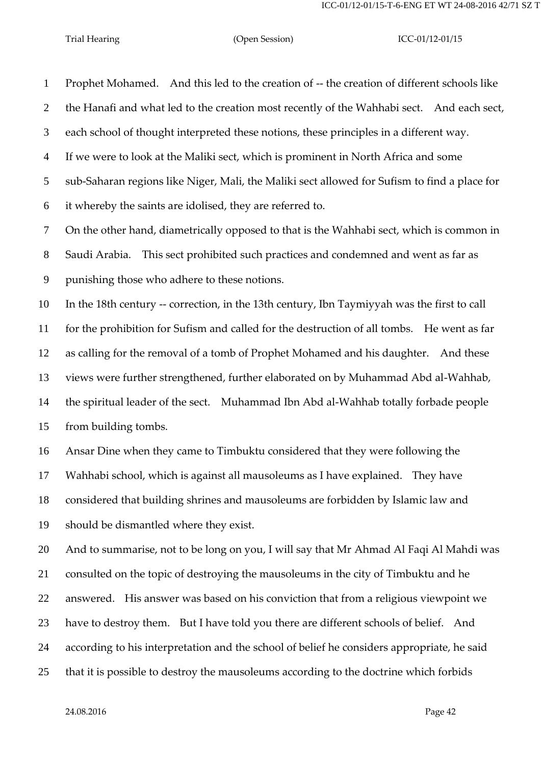Prophet Mohamed. And this led to the creation of -- the creation of different schools like the Hanafi and what led to the creation most recently of the Wahhabi sect. And each sect, each school of thought interpreted these notions, these principles in a different way. If we were to look at the Maliki sect, which is prominent in North Africa and some sub-Saharan regions like Niger, Mali, the Maliki sect allowed for Sufism to find a place for it whereby the saints are idolised, they are referred to. On the other hand, diametrically opposed to that is the Wahhabi sect, which is common in

 Saudi Arabia. This sect prohibited such practices and condemned and went as far as punishing those who adhere to these notions.

 In the 18th century -- correction, in the 13th century, Ibn Taymiyyah was the first to call for the prohibition for Sufism and called for the destruction of all tombs. He went as far as calling for the removal of a tomb of Prophet Mohamed and his daughter. And these views were further strengthened, further elaborated on by Muhammad Abd al-Wahhab, the spiritual leader of the sect. Muhammad Ibn Abd al-Wahhab totally forbade people from building tombs.

 Ansar Dine when they came to Timbuktu considered that they were following the Wahhabi school, which is against all mausoleums as I have explained. They have considered that building shrines and mausoleums are forbidden by Islamic law and should be dismantled where they exist.

 And to summarise, not to be long on you, I will say that Mr Ahmad Al Faqi Al Mahdi was consulted on the topic of destroying the mausoleums in the city of Timbuktu and he answered. His answer was based on his conviction that from a religious viewpoint we have to destroy them. But I have told you there are different schools of belief. And according to his interpretation and the school of belief he considers appropriate, he said that it is possible to destroy the mausoleums according to the doctrine which forbids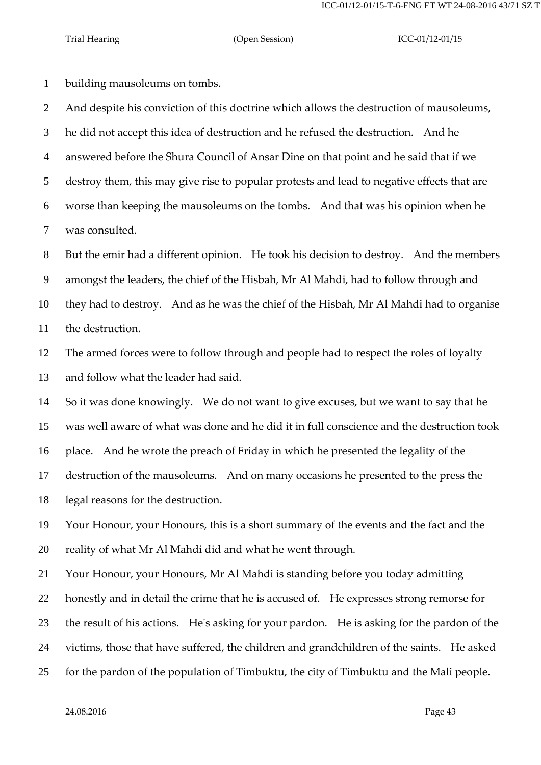building mausoleums on tombs.

 And despite his conviction of this doctrine which allows the destruction of mausoleums, he did not accept this idea of destruction and he refused the destruction. And he answered before the Shura Council of Ansar Dine on that point and he said that if we destroy them, this may give rise to popular protests and lead to negative effects that are worse than keeping the mausoleums on the tombs. And that was his opinion when he was consulted.

 But the emir had a different opinion. He took his decision to destroy. And the members amongst the leaders, the chief of the Hisbah, Mr Al Mahdi, had to follow through and they had to destroy. And as he was the chief of the Hisbah, Mr Al Mahdi had to organise the destruction.

 The armed forces were to follow through and people had to respect the roles of loyalty and follow what the leader had said.

So it was done knowingly. We do not want to give excuses, but we want to say that he

was well aware of what was done and he did it in full conscience and the destruction took

place. And he wrote the preach of Friday in which he presented the legality of the

destruction of the mausoleums. And on many occasions he presented to the press the

legal reasons for the destruction.

 Your Honour, your Honours, this is a short summary of the events and the fact and the reality of what Mr Al Mahdi did and what he went through.

Your Honour, your Honours, Mr Al Mahdi is standing before you today admitting

honestly and in detail the crime that he is accused of. He expresses strong remorse for

the result of his actions. He's asking for your pardon. He is asking for the pardon of the

victims, those that have suffered, the children and grandchildren of the saints. He asked

for the pardon of the population of Timbuktu, the city of Timbuktu and the Mali people.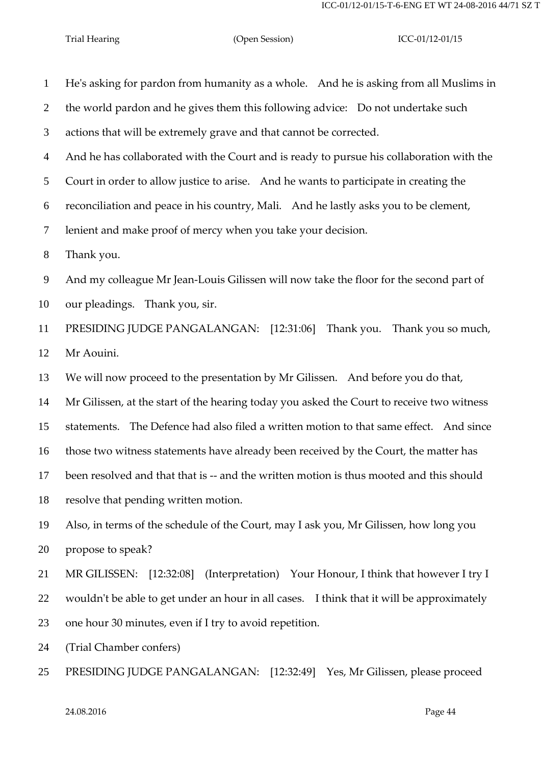| $\mathbf{1}$   | He's asking for pardon from humanity as a whole. And he is asking from all Muslims in     |
|----------------|-------------------------------------------------------------------------------------------|
| $\overline{2}$ | the world pardon and he gives them this following advice: Do not undertake such           |
| 3              | actions that will be extremely grave and that cannot be corrected.                        |
| $\overline{4}$ | And he has collaborated with the Court and is ready to pursue his collaboration with the  |
| 5              | Court in order to allow justice to arise. And he wants to participate in creating the     |
| 6              | reconciliation and peace in his country, Mali. And he lastly asks you to be clement,      |
| 7              | lenient and make proof of mercy when you take your decision.                              |
| 8              | Thank you.                                                                                |
| 9              | And my colleague Mr Jean-Louis Gilissen will now take the floor for the second part of    |
| 10             | our pleadings. Thank you, sir.                                                            |
| 11             | PRESIDING JUDGE PANGALANGAN: [12:31:06] Thank you. Thank you so much,                     |
| 12             | Mr Aouini.                                                                                |
| 13             | We will now proceed to the presentation by Mr Gilissen. And before you do that,           |
| 14             | Mr Gilissen, at the start of the hearing today you asked the Court to receive two witness |
| 15             | statements. The Defence had also filed a written motion to that same effect. And since    |
| 16             | those two witness statements have already been received by the Court, the matter has      |
| 17             | been resolved and that that is -- and the written motion is thus mooted and this should   |
| 18             | resolve that pending written motion.                                                      |
| 19             | Also, in terms of the schedule of the Court, may I ask you, Mr Gilissen, how long you     |
| 20             | propose to speak?                                                                         |
| 21             | MR GILISSEN: [12:32:08] (Interpretation) Your Honour, I think that however I try I        |
| 22             | wouldn't be able to get under an hour in all cases. I think that it will be approximately |
| 23             | one hour 30 minutes, even if I try to avoid repetition.                                   |
| 24             | (Trial Chamber confers)                                                                   |
| 25             | PRESIDING JUDGE PANGALANGAN: [12:32:49] Yes, Mr Gilissen, please proceed                  |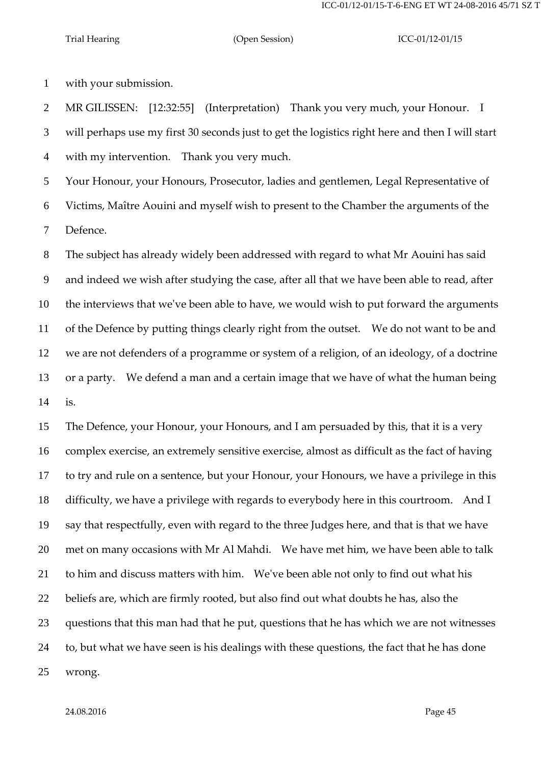with your submission.

MR GILISSEN: [12:32:55] (Interpretation) Thank you very much, your Honour. I

will perhaps use my first 30 seconds just to get the logistics right here and then I will start

with my intervention. Thank you very much.

 Your Honour, your Honours, Prosecutor, ladies and gentlemen, Legal Representative of Victims, Maître Aouini and myself wish to present to the Chamber the arguments of the Defence.

 The subject has already widely been addressed with regard to what Mr Aouini has said and indeed we wish after studying the case, after all that we have been able to read, after the interviews that we've been able to have, we would wish to put forward the arguments of the Defence by putting things clearly right from the outset. We do not want to be and we are not defenders of a programme or system of a religion, of an ideology, of a doctrine or a party. We defend a man and a certain image that we have of what the human being is.

 The Defence, your Honour, your Honours, and I am persuaded by this, that it is a very complex exercise, an extremely sensitive exercise, almost as difficult as the fact of having to try and rule on a sentence, but your Honour, your Honours, we have a privilege in this difficulty, we have a privilege with regards to everybody here in this courtroom. And I say that respectfully, even with regard to the three Judges here, and that is that we have met on many occasions with Mr Al Mahdi. We have met him, we have been able to talk to him and discuss matters with him. We've been able not only to find out what his beliefs are, which are firmly rooted, but also find out what doubts he has, also the questions that this man had that he put, questions that he has which we are not witnesses to, but what we have seen is his dealings with these questions, the fact that he has done wrong.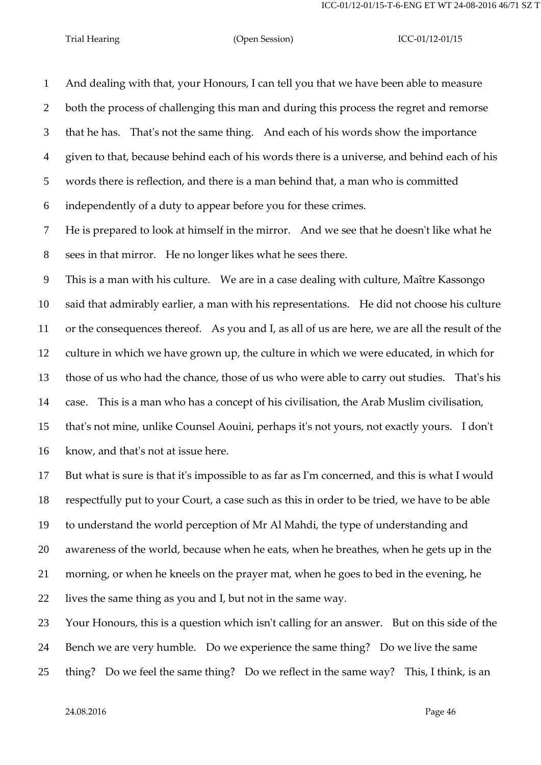And dealing with that, your Honours, I can tell you that we have been able to measure both the process of challenging this man and during this process the regret and remorse that he has. That's not the same thing. And each of his words show the importance given to that, because behind each of his words there is a universe, and behind each of his words there is reflection, and there is a man behind that, a man who is committed independently of a duty to appear before you for these crimes.

 He is prepared to look at himself in the mirror. And we see that he doesn't like what he sees in that mirror. He no longer likes what he sees there.

 This is a man with his culture. We are in a case dealing with culture, Maître Kassongo said that admirably earlier, a man with his representations. He did not choose his culture or the consequences thereof. As you and I, as all of us are here, we are all the result of the culture in which we have grown up, the culture in which we were educated, in which for those of us who had the chance, those of us who were able to carry out studies. That's his case. This is a man who has a concept of his civilisation, the Arab Muslim civilisation, that's not mine, unlike Counsel Aouini, perhaps it's not yours, not exactly yours. I don't know, and that's not at issue here.

 But what is sure is that it's impossible to as far as I'm concerned, and this is what I would respectfully put to your Court, a case such as this in order to be tried, we have to be able to understand the world perception of Mr Al Mahdi, the type of understanding and awareness of the world, because when he eats, when he breathes, when he gets up in the morning, or when he kneels on the prayer mat, when he goes to bed in the evening, he lives the same thing as you and I, but not in the same way.

 Your Honours, this is a question which isn't calling for an answer. But on this side of the Bench we are very humble. Do we experience the same thing? Do we live the same thing? Do we feel the same thing? Do we reflect in the same way? This, I think, is an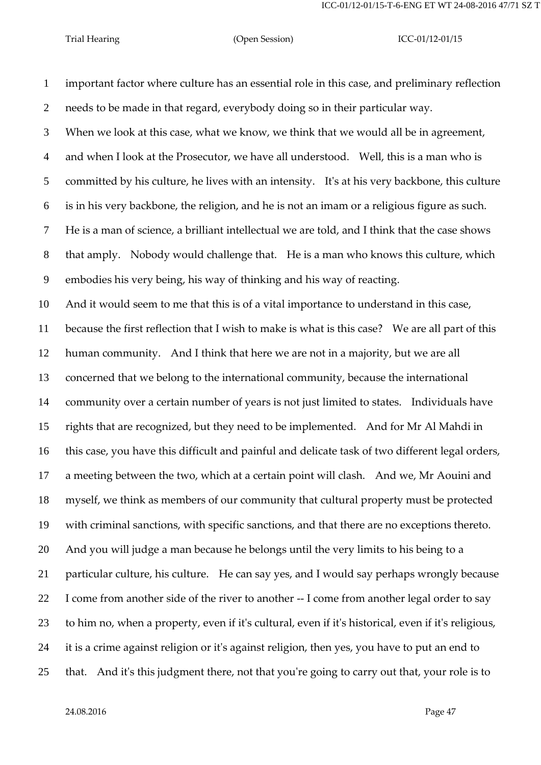important factor where culture has an essential role in this case, and preliminary reflection needs to be made in that regard, everybody doing so in their particular way. When we look at this case, what we know, we think that we would all be in agreement, and when I look at the Prosecutor, we have all understood. Well, this is a man who is committed by his culture, he lives with an intensity. It's at his very backbone, this culture is in his very backbone, the religion, and he is not an imam or a religious figure as such. He is a man of science, a brilliant intellectual we are told, and I think that the case shows that amply. Nobody would challenge that. He is a man who knows this culture, which embodies his very being, his way of thinking and his way of reacting. And it would seem to me that this is of a vital importance to understand in this case, because the first reflection that I wish to make is what is this case? We are all part of this human community. And I think that here we are not in a majority, but we are all concerned that we belong to the international community, because the international community over a certain number of years is not just limited to states. Individuals have rights that are recognized, but they need to be implemented. And for Mr Al Mahdi in this case, you have this difficult and painful and delicate task of two different legal orders, a meeting between the two, which at a certain point will clash. And we, Mr Aouini and myself, we think as members of our community that cultural property must be protected with criminal sanctions, with specific sanctions, and that there are no exceptions thereto. And you will judge a man because he belongs until the very limits to his being to a particular culture, his culture. He can say yes, and I would say perhaps wrongly because I come from another side of the river to another -- I come from another legal order to say to him no, when a property, even if it's cultural, even if it's historical, even if it's religious, it is a crime against religion or it's against religion, then yes, you have to put an end to that. And it's this judgment there, not that you're going to carry out that, your role is to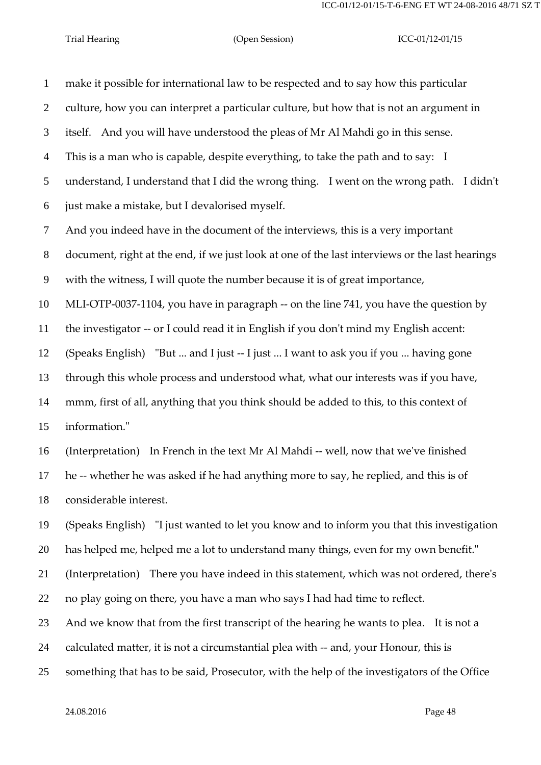make it possible for international law to be respected and to say how this particular culture, how you can interpret a particular culture, but how that is not an argument in itself. And you will have understood the pleas of Mr Al Mahdi go in this sense. This is a man who is capable, despite everything, to take the path and to say: I understand, I understand that I did the wrong thing. I went on the wrong path. I didn't just make a mistake, but I devalorised myself. And you indeed have in the document of the interviews, this is a very important document, right at the end, if we just look at one of the last interviews or the last hearings with the witness, I will quote the number because it is of great importance, MLI-OTP-0037-1104, you have in paragraph -- on the line 741, you have the question by the investigator -- or I could read it in English if you don't mind my English accent: (Speaks English) "But ... and I just -- I just ... I want to ask you if you ... having gone through this whole process and understood what, what our interests was if you have, mmm, first of all, anything that you think should be added to this, to this context of information." (Interpretation) In French in the text Mr Al Mahdi -- well, now that we've finished he -- whether he was asked if he had anything more to say, he replied, and this is of considerable interest. (Speaks English) "I just wanted to let you know and to inform you that this investigation has helped me, helped me a lot to understand many things, even for my own benefit." (Interpretation) There you have indeed in this statement, which was not ordered, there's no play going on there, you have a man who says I had had time to reflect. And we know that from the first transcript of the hearing he wants to plea. It is not a

calculated matter, it is not a circumstantial plea with -- and, your Honour, this is

something that has to be said, Prosecutor, with the help of the investigators of the Office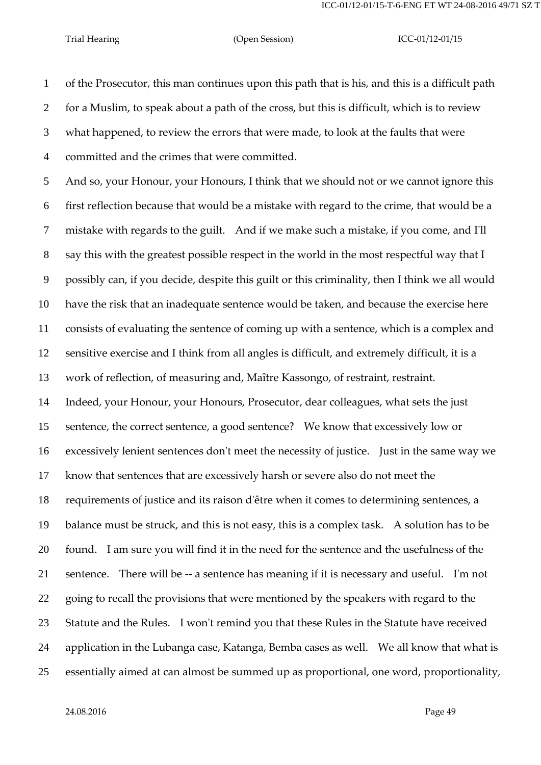of the Prosecutor, this man continues upon this path that is his, and this is a difficult path for a Muslim, to speak about a path of the cross, but this is difficult, which is to review what happened, to review the errors that were made, to look at the faults that were committed and the crimes that were committed.

 And so, your Honour, your Honours, I think that we should not or we cannot ignore this first reflection because that would be a mistake with regard to the crime, that would be a mistake with regards to the guilt. And if we make such a mistake, if you come, and I'll say this with the greatest possible respect in the world in the most respectful way that I possibly can, if you decide, despite this guilt or this criminality, then I think we all would have the risk that an inadequate sentence would be taken, and because the exercise here consists of evaluating the sentence of coming up with a sentence, which is a complex and sensitive exercise and I think from all angles is difficult, and extremely difficult, it is a work of reflection, of measuring and, Maître Kassongo, of restraint, restraint. Indeed, your Honour, your Honours, Prosecutor, dear colleagues, what sets the just sentence, the correct sentence, a good sentence? We know that excessively low or excessively lenient sentences don't meet the necessity of justice. Just in the same way we know that sentences that are excessively harsh or severe also do not meet the requirements of justice and its raison d'être when it comes to determining sentences, a balance must be struck, and this is not easy, this is a complex task. A solution has to be found. I am sure you will find it in the need for the sentence and the usefulness of the sentence. There will be -- a sentence has meaning if it is necessary and useful. I'm not 22 going to recall the provisions that were mentioned by the speakers with regard to the Statute and the Rules. I won't remind you that these Rules in the Statute have received application in the Lubanga case, Katanga, Bemba cases as well. We all know that what is essentially aimed at can almost be summed up as proportional, one word, proportionality,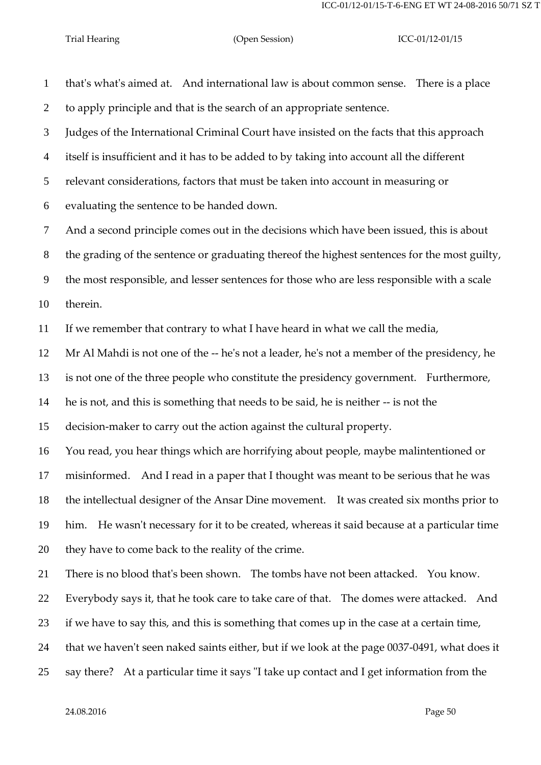that's what's aimed at. And international law is about common sense. There is a place to apply principle and that is the search of an appropriate sentence. Judges of the International Criminal Court have insisted on the facts that this approach itself is insufficient and it has to be added to by taking into account all the different relevant considerations, factors that must be taken into account in measuring or evaluating the sentence to be handed down. And a second principle comes out in the decisions which have been issued, this is about the grading of the sentence or graduating thereof the highest sentences for the most guilty, the most responsible, and lesser sentences for those who are less responsible with a scale therein. If we remember that contrary to what I have heard in what we call the media, Mr Al Mahdi is not one of the -- he's not a leader, he's not a member of the presidency, he is not one of the three people who constitute the presidency government. Furthermore, he is not, and this is something that needs to be said, he is neither -- is not the decision-maker to carry out the action against the cultural property. You read, you hear things which are horrifying about people, maybe malintentioned or misinformed. And I read in a paper that I thought was meant to be serious that he was

the intellectual designer of the Ansar Dine movement. It was created six months prior to

 him. He wasn't necessary for it to be created, whereas it said because at a particular time they have to come back to the reality of the crime.

There is no blood that's been shown. The tombs have not been attacked. You know.

Everybody says it, that he took care to take care of that. The domes were attacked. And

if we have to say this, and this is something that comes up in the case at a certain time,

that we haven't seen naked saints either, but if we look at the page 0037-0491, what does it

say there? At a particular time it says "I take up contact and I get information from the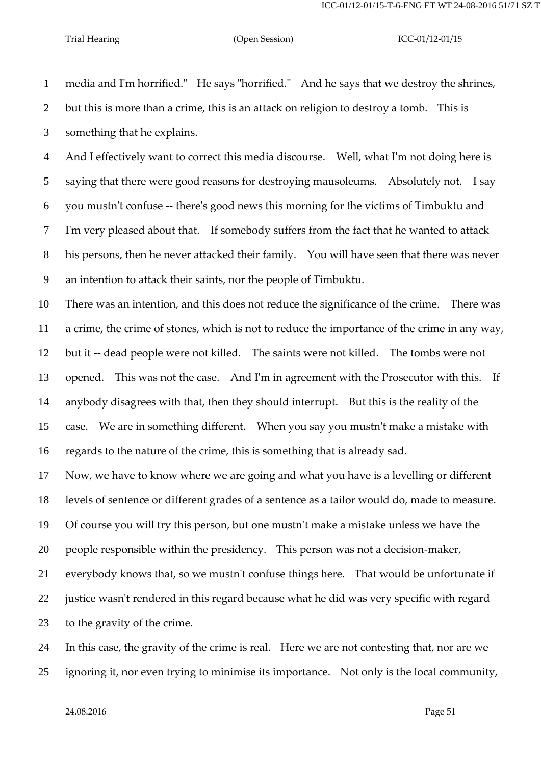media and I'm horrified." He says "horrified." And he says that we destroy the shrines, but this is more than a crime, this is an attack on religion to destroy a tomb. This is something that he explains. And I effectively want to correct this media discourse. Well, what I'm not doing here is saying that there were good reasons for destroying mausoleums. Absolutely not. I say you mustn't confuse -- there's good news this morning for the victims of Timbuktu and I'm very pleased about that. If somebody suffers from the fact that he wanted to attack his persons, then he never attacked their family. You will have seen that there was never an intention to attack their saints, nor the people of Timbuktu. There was an intention, and this does not reduce the significance of the crime. There was a crime, the crime of stones, which is not to reduce the importance of the crime in any way, but it -- dead people were not killed. The saints were not killed. The tombs were not opened. This was not the case. And I'm in agreement with the Prosecutor with this. If anybody disagrees with that, then they should interrupt. But this is the reality of the case. We are in something different. When you say you mustn't make a mistake with regards to the nature of the crime, this is something that is already sad. Now, we have to know where we are going and what you have is a levelling or different levels of sentence or different grades of a sentence as a tailor would do, made to measure. Of course you will try this person, but one mustn't make a mistake unless we have the people responsible within the presidency. This person was not a decision-maker, everybody knows that, so we mustn't confuse things here. That would be unfortunate if justice wasn't rendered in this regard because what he did was very specific with regard to the gravity of the crime.

 In this case, the gravity of the crime is real. Here we are not contesting that, nor are we ignoring it, nor even trying to minimise its importance. Not only is the local community,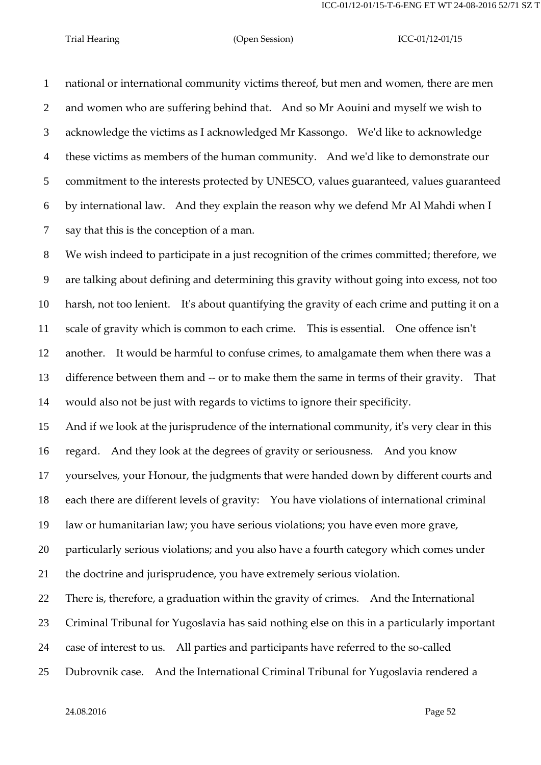national or international community victims thereof, but men and women, there are men and women who are suffering behind that. And so Mr Aouini and myself we wish to acknowledge the victims as I acknowledged Mr Kassongo. We'd like to acknowledge these victims as members of the human community. And we'd like to demonstrate our commitment to the interests protected by UNESCO, values guaranteed, values guaranteed by international law. And they explain the reason why we defend Mr Al Mahdi when I say that this is the conception of a man.

 We wish indeed to participate in a just recognition of the crimes committed; therefore, we are talking about defining and determining this gravity without going into excess, not too harsh, not too lenient. It's about quantifying the gravity of each crime and putting it on a scale of gravity which is common to each crime. This is essential. One offence isn't another. It would be harmful to confuse crimes, to amalgamate them when there was a difference between them and -- or to make them the same in terms of their gravity. That would also not be just with regards to victims to ignore their specificity.

 And if we look at the jurisprudence of the international community, it's very clear in this regard. And they look at the degrees of gravity or seriousness. And you know

yourselves, your Honour, the judgments that were handed down by different courts and

each there are different levels of gravity: You have violations of international criminal

law or humanitarian law; you have serious violations; you have even more grave,

particularly serious violations; and you also have a fourth category which comes under

the doctrine and jurisprudence, you have extremely serious violation.

There is, therefore, a graduation within the gravity of crimes. And the International

Criminal Tribunal for Yugoslavia has said nothing else on this in a particularly important

case of interest to us. All parties and participants have referred to the so-called

Dubrovnik case. And the International Criminal Tribunal for Yugoslavia rendered a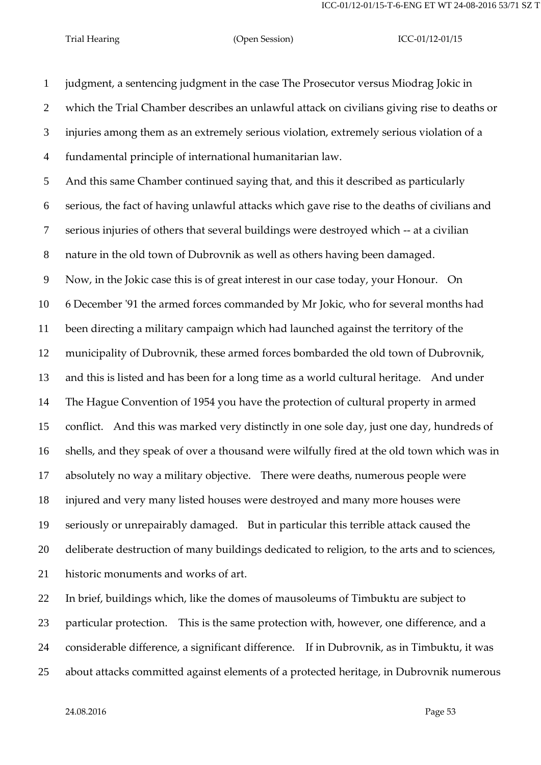judgment, a sentencing judgment in the case The Prosecutor versus Miodrag Jokic in which the Trial Chamber describes an unlawful attack on civilians giving rise to deaths or injuries among them as an extremely serious violation, extremely serious violation of a fundamental principle of international humanitarian law. And this same Chamber continued saying that, and this it described as particularly serious, the fact of having unlawful attacks which gave rise to the deaths of civilians and serious injuries of others that several buildings were destroyed which -- at a civilian nature in the old town of Dubrovnik as well as others having been damaged. Now, in the Jokic case this is of great interest in our case today, your Honour. On 6 December '91 the armed forces commanded by Mr Jokic, who for several months had been directing a military campaign which had launched against the territory of the municipality of Dubrovnik, these armed forces bombarded the old town of Dubrovnik, and this is listed and has been for a long time as a world cultural heritage. And under The Hague Convention of 1954 you have the protection of cultural property in armed conflict. And this was marked very distinctly in one sole day, just one day, hundreds of shells, and they speak of over a thousand were wilfully fired at the old town which was in absolutely no way a military objective. There were deaths, numerous people were injured and very many listed houses were destroyed and many more houses were seriously or unrepairably damaged. But in particular this terrible attack caused the deliberate destruction of many buildings dedicated to religion, to the arts and to sciences, historic monuments and works of art. In brief, buildings which, like the domes of mausoleums of Timbuktu are subject to particular protection. This is the same protection with, however, one difference, and a considerable difference, a significant difference. If in Dubrovnik, as in Timbuktu, it was

about attacks committed against elements of a protected heritage, in Dubrovnik numerous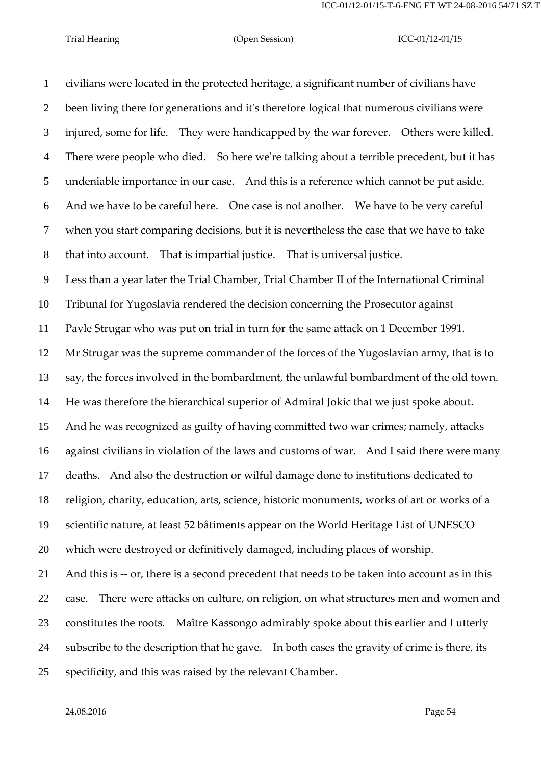civilians were located in the protected heritage, a significant number of civilians have been living there for generations and it's therefore logical that numerous civilians were injured, some for life. They were handicapped by the war forever. Others were killed. There were people who died. So here we're talking about a terrible precedent, but it has undeniable importance in our case. And this is a reference which cannot be put aside. And we have to be careful here. One case is not another. We have to be very careful when you start comparing decisions, but it is nevertheless the case that we have to take that into account. That is impartial justice. That is universal justice. Less than a year later the Trial Chamber, Trial Chamber II of the International Criminal Tribunal for Yugoslavia rendered the decision concerning the Prosecutor against Pavle Strugar who was put on trial in turn for the same attack on 1 December 1991. Mr Strugar was the supreme commander of the forces of the Yugoslavian army, that is to say, the forces involved in the bombardment, the unlawful bombardment of the old town. He was therefore the hierarchical superior of Admiral Jokic that we just spoke about. And he was recognized as guilty of having committed two war crimes; namely, attacks against civilians in violation of the laws and customs of war. And I said there were many deaths. And also the destruction or wilful damage done to institutions dedicated to religion, charity, education, arts, science, historic monuments, works of art or works of a scientific nature, at least 52 bâtiments appear on the World Heritage List of UNESCO which were destroyed or definitively damaged, including places of worship. And this is -- or, there is a second precedent that needs to be taken into account as in this case. There were attacks on culture, on religion, on what structures men and women and constitutes the roots. Maître Kassongo admirably spoke about this earlier and I utterly subscribe to the description that he gave. In both cases the gravity of crime is there, its specificity, and this was raised by the relevant Chamber.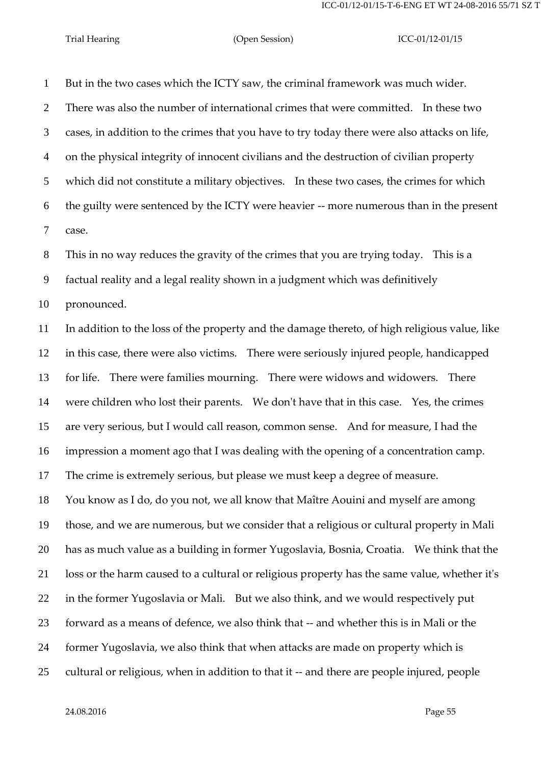But in the two cases which the ICTY saw, the criminal framework was much wider. There was also the number of international crimes that were committed. In these two cases, in addition to the crimes that you have to try today there were also attacks on life, on the physical integrity of innocent civilians and the destruction of civilian property which did not constitute a military objectives. In these two cases, the crimes for which the guilty were sentenced by the ICTY were heavier -- more numerous than in the present case.

This in no way reduces the gravity of the crimes that you are trying today. This is a

factual reality and a legal reality shown in a judgment which was definitively

pronounced.

 In addition to the loss of the property and the damage thereto, of high religious value, like in this case, there were also victims. There were seriously injured people, handicapped for life. There were families mourning. There were widows and widowers. There were children who lost their parents. We don't have that in this case. Yes, the crimes are very serious, but I would call reason, common sense. And for measure, I had the impression a moment ago that I was dealing with the opening of a concentration camp. The crime is extremely serious, but please we must keep a degree of measure. You know as I do, do you not, we all know that Maître Aouini and myself are among those, and we are numerous, but we consider that a religious or cultural property in Mali has as much value as a building in former Yugoslavia, Bosnia, Croatia. We think that the loss or the harm caused to a cultural or religious property has the same value, whether it's in the former Yugoslavia or Mali. But we also think, and we would respectively put forward as a means of defence, we also think that -- and whether this is in Mali or the former Yugoslavia, we also think that when attacks are made on property which is

cultural or religious, when in addition to that it -- and there are people injured, people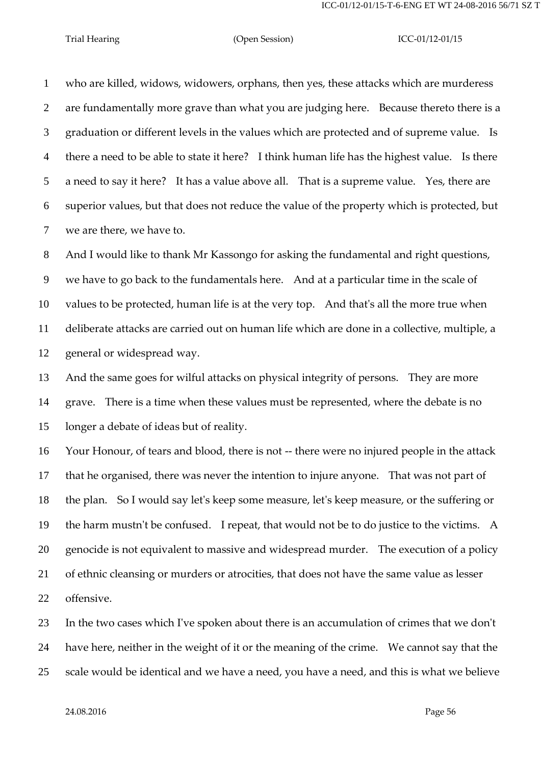who are killed, widows, widowers, orphans, then yes, these attacks which are murderess are fundamentally more grave than what you are judging here. Because thereto there is a graduation or different levels in the values which are protected and of supreme value. Is there a need to be able to state it here? I think human life has the highest value. Is there a need to say it here? It has a value above all. That is a supreme value. Yes, there are superior values, but that does not reduce the value of the property which is protected, but we are there, we have to.

 And I would like to thank Mr Kassongo for asking the fundamental and right questions, we have to go back to the fundamentals here. And at a particular time in the scale of values to be protected, human life is at the very top. And that's all the more true when deliberate attacks are carried out on human life which are done in a collective, multiple, a general or widespread way.

 And the same goes for wilful attacks on physical integrity of persons. They are more grave. There is a time when these values must be represented, where the debate is no longer a debate of ideas but of reality.

 Your Honour, of tears and blood, there is not -- there were no injured people in the attack that he organised, there was never the intention to injure anyone. That was not part of the plan. So I would say let's keep some measure, let's keep measure, or the suffering or the harm mustn't be confused. I repeat, that would not be to do justice to the victims. A genocide is not equivalent to massive and widespread murder. The execution of a policy of ethnic cleansing or murders or atrocities, that does not have the same value as lesser offensive.

 In the two cases which I've spoken about there is an accumulation of crimes that we don't have here, neither in the weight of it or the meaning of the crime. We cannot say that the scale would be identical and we have a need, you have a need, and this is what we believe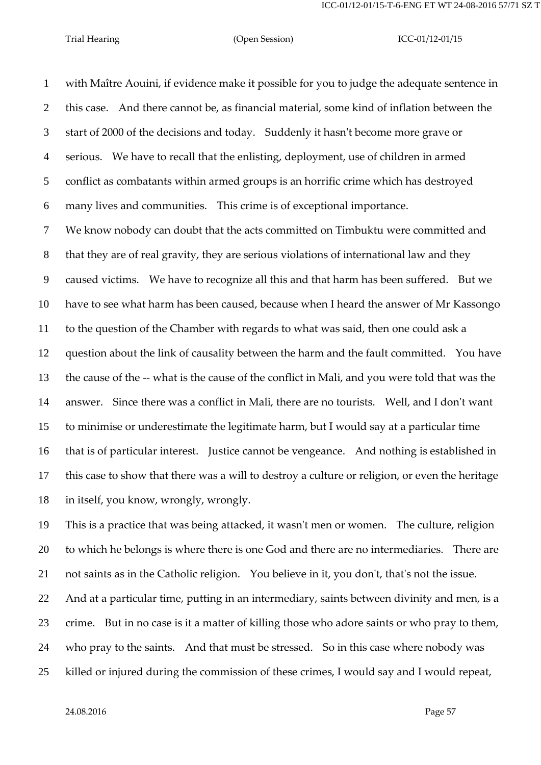with Maître Aouini, if evidence make it possible for you to judge the adequate sentence in this case. And there cannot be, as financial material, some kind of inflation between the start of 2000 of the decisions and today. Suddenly it hasn't become more grave or serious. We have to recall that the enlisting, deployment, use of children in armed conflict as combatants within armed groups is an horrific crime which has destroyed many lives and communities. This crime is of exceptional importance.

 We know nobody can doubt that the acts committed on Timbuktu were committed and that they are of real gravity, they are serious violations of international law and they caused victims. We have to recognize all this and that harm has been suffered. But we have to see what harm has been caused, because when I heard the answer of Mr Kassongo to the question of the Chamber with regards to what was said, then one could ask a question about the link of causality between the harm and the fault committed. You have the cause of the -- what is the cause of the conflict in Mali, and you were told that was the answer. Since there was a conflict in Mali, there are no tourists. Well, and I don't want to minimise or underestimate the legitimate harm, but I would say at a particular time that is of particular interest. Justice cannot be vengeance. And nothing is established in this case to show that there was a will to destroy a culture or religion, or even the heritage in itself, you know, wrongly, wrongly.

 This is a practice that was being attacked, it wasn't men or women. The culture, religion to which he belongs is where there is one God and there are no intermediaries. There are not saints as in the Catholic religion. You believe in it, you don't, that's not the issue. And at a particular time, putting in an intermediary, saints between divinity and men, is a crime. But in no case is it a matter of killing those who adore saints or who pray to them,

who pray to the saints. And that must be stressed. So in this case where nobody was

killed or injured during the commission of these crimes, I would say and I would repeat,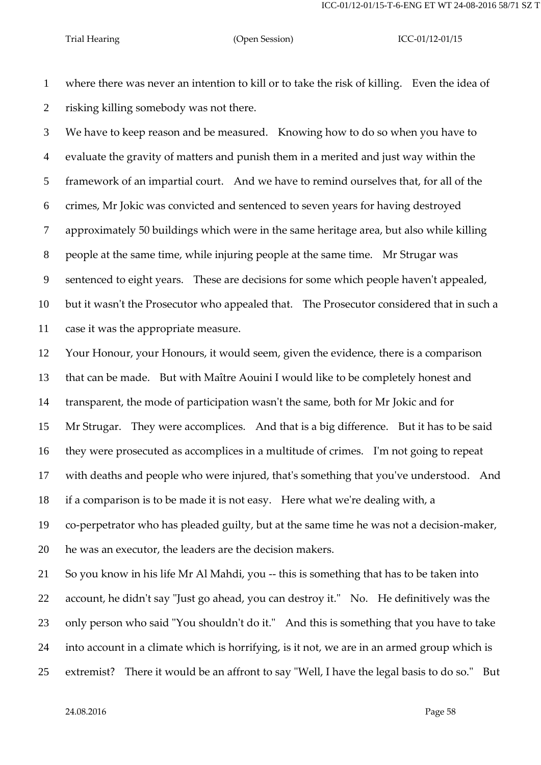where there was never an intention to kill or to take the risk of killing. Even the idea of risking killing somebody was not there.

 We have to keep reason and be measured. Knowing how to do so when you have to evaluate the gravity of matters and punish them in a merited and just way within the framework of an impartial court. And we have to remind ourselves that, for all of the crimes, Mr Jokic was convicted and sentenced to seven years for having destroyed approximately 50 buildings which were in the same heritage area, but also while killing people at the same time, while injuring people at the same time. Mr Strugar was sentenced to eight years. These are decisions for some which people haven't appealed, but it wasn't the Prosecutor who appealed that. The Prosecutor considered that in such a case it was the appropriate measure.

 Your Honour, your Honours, it would seem, given the evidence, there is a comparison that can be made. But with Maître Aouini I would like to be completely honest and transparent, the mode of participation wasn't the same, both for Mr Jokic and for Mr Strugar. They were accomplices. And that is a big difference. But it has to be said they were prosecuted as accomplices in a multitude of crimes. I'm not going to repeat with deaths and people who were injured, that's something that you've understood. And if a comparison is to be made it is not easy. Here what we're dealing with, a co-perpetrator who has pleaded guilty, but at the same time he was not a decision-maker, he was an executor, the leaders are the decision makers.

 So you know in his life Mr Al Mahdi, you -- this is something that has to be taken into account, he didn't say "Just go ahead, you can destroy it." No. He definitively was the only person who said "You shouldn't do it." And this is something that you have to take into account in a climate which is horrifying, is it not, we are in an armed group which is extremist? There it would be an affront to say "Well, I have the legal basis to do so." But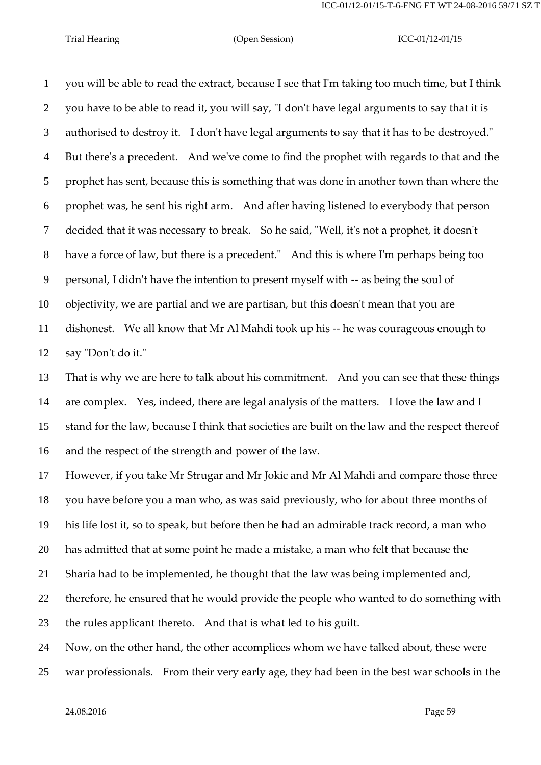you will be able to read the extract, because I see that I'm taking too much time, but I think you have to be able to read it, you will say, "I don't have legal arguments to say that it is authorised to destroy it. I don't have legal arguments to say that it has to be destroyed." But there's a precedent. And we've come to find the prophet with regards to that and the prophet has sent, because this is something that was done in another town than where the prophet was, he sent his right arm. And after having listened to everybody that person decided that it was necessary to break. So he said, "Well, it's not a prophet, it doesn't have a force of law, but there is a precedent." And this is where I'm perhaps being too personal, I didn't have the intention to present myself with -- as being the soul of objectivity, we are partial and we are partisan, but this doesn't mean that you are dishonest. We all know that Mr Al Mahdi took up his -- he was courageous enough to say "Don't do it."

 That is why we are here to talk about his commitment. And you can see that these things are complex. Yes, indeed, there are legal analysis of the matters. I love the law and I stand for the law, because I think that societies are built on the law and the respect thereof and the respect of the strength and power of the law.

 However, if you take Mr Strugar and Mr Jokic and Mr Al Mahdi and compare those three you have before you a man who, as was said previously, who for about three months of his life lost it, so to speak, but before then he had an admirable track record, a man who has admitted that at some point he made a mistake, a man who felt that because the Sharia had to be implemented, he thought that the law was being implemented and, therefore, he ensured that he would provide the people who wanted to do something with the rules applicant thereto. And that is what led to his guilt.

Now, on the other hand, the other accomplices whom we have talked about, these were

war professionals. From their very early age, they had been in the best war schools in the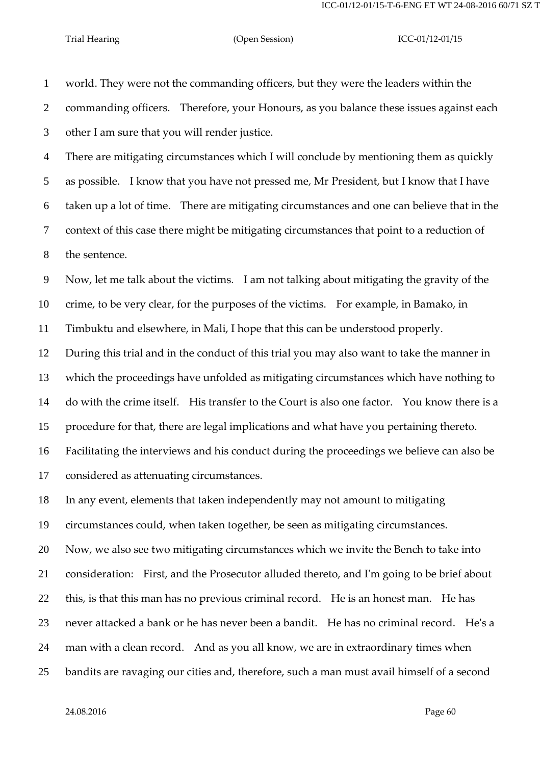world. They were not the commanding officers, but they were the leaders within the commanding officers. Therefore, your Honours, as you balance these issues against each other I am sure that you will render justice.

 There are mitigating circumstances which I will conclude by mentioning them as quickly as possible. I know that you have not pressed me, Mr President, but I know that I have taken up a lot of time. There are mitigating circumstances and one can believe that in the context of this case there might be mitigating circumstances that point to a reduction of the sentence.

 Now, let me talk about the victims. I am not talking about mitigating the gravity of the crime, to be very clear, for the purposes of the victims. For example, in Bamako, in

Timbuktu and elsewhere, in Mali, I hope that this can be understood properly.

 During this trial and in the conduct of this trial you may also want to take the manner in which the proceedings have unfolded as mitigating circumstances which have nothing to do with the crime itself. His transfer to the Court is also one factor. You know there is a procedure for that, there are legal implications and what have you pertaining thereto. Facilitating the interviews and his conduct during the proceedings we believe can also be

considered as attenuating circumstances.

In any event, elements that taken independently may not amount to mitigating

circumstances could, when taken together, be seen as mitigating circumstances.

Now, we also see two mitigating circumstances which we invite the Bench to take into

consideration: First, and the Prosecutor alluded thereto, and I'm going to be brief about

this, is that this man has no previous criminal record. He is an honest man. He has

never attacked a bank or he has never been a bandit. He has no criminal record. He's a

man with a clean record. And as you all know, we are in extraordinary times when

bandits are ravaging our cities and, therefore, such a man must avail himself of a second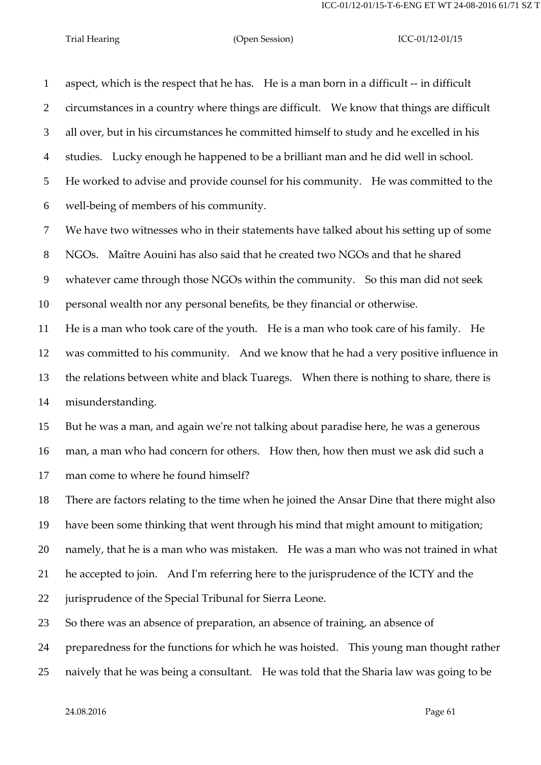aspect, which is the respect that he has. He is a man born in a difficult -- in difficult circumstances in a country where things are difficult. We know that things are difficult all over, but in his circumstances he committed himself to study and he excelled in his studies. Lucky enough he happened to be a brilliant man and he did well in school. He worked to advise and provide counsel for his community. He was committed to the well-being of members of his community. We have two witnesses who in their statements have talked about his setting up of some NGOs. Maître Aouini has also said that he created two NGOs and that he shared whatever came through those NGOs within the community. So this man did not seek personal wealth nor any personal benefits, be they financial or otherwise. He is a man who took care of the youth. He is a man who took care of his family. He was committed to his community. And we know that he had a very positive influence in the relations between white and black Tuaregs. When there is nothing to share, there is misunderstanding. But he was a man, and again we're not talking about paradise here, he was a generous man, a man who had concern for others. How then, how then must we ask did such a man come to where he found himself? There are factors relating to the time when he joined the Ansar Dine that there might also have been some thinking that went through his mind that might amount to mitigation; namely, that he is a man who was mistaken. He was a man who was not trained in what he accepted to join. And I'm referring here to the jurisprudence of the ICTY and the

jurisprudence of the Special Tribunal for Sierra Leone.

So there was an absence of preparation, an absence of training, an absence of

preparedness for the functions for which he was hoisted. This young man thought rather

naively that he was being a consultant. He was told that the Sharia law was going to be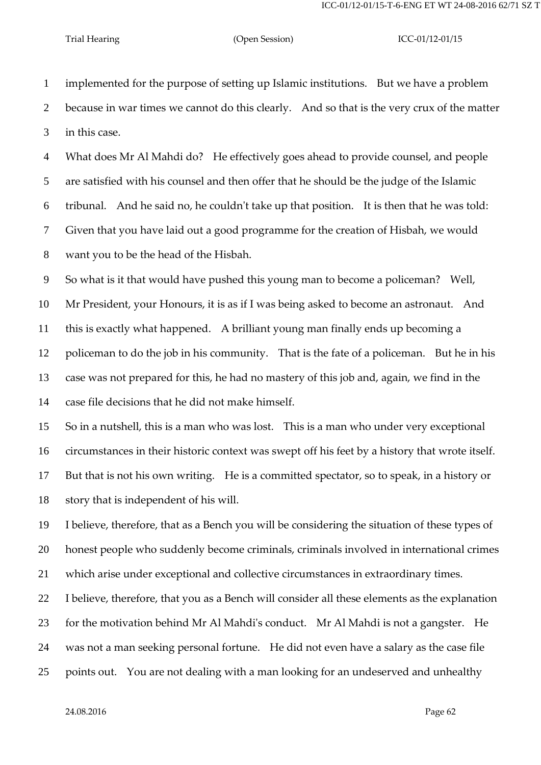implemented for the purpose of setting up Islamic institutions. But we have a problem because in war times we cannot do this clearly. And so that is the very crux of the matter in this case.

 What does Mr Al Mahdi do? He effectively goes ahead to provide counsel, and people are satisfied with his counsel and then offer that he should be the judge of the Islamic tribunal. And he said no, he couldn't take up that position. It is then that he was told: Given that you have laid out a good programme for the creation of Hisbah, we would want you to be the head of the Hisbah.

So what is it that would have pushed this young man to become a policeman? Well,

 Mr President, your Honours, it is as if I was being asked to become an astronaut. And this is exactly what happened. A brilliant young man finally ends up becoming a policeman to do the job in his community. That is the fate of a policeman. But he in his case was not prepared for this, he had no mastery of this job and, again, we find in the case file decisions that he did not make himself.

 So in a nutshell, this is a man who was lost. This is a man who under very exceptional circumstances in their historic context was swept off his feet by a history that wrote itself. But that is not his own writing. He is a committed spectator, so to speak, in a history or story that is independent of his will.

 I believe, therefore, that as a Bench you will be considering the situation of these types of honest people who suddenly become criminals, criminals involved in international crimes which arise under exceptional and collective circumstances in extraordinary times.

 I believe, therefore, that you as a Bench will consider all these elements as the explanation for the motivation behind Mr Al Mahdi's conduct. Mr Al Mahdi is not a gangster. He was not a man seeking personal fortune. He did not even have a salary as the case file points out. You are not dealing with a man looking for an undeserved and unhealthy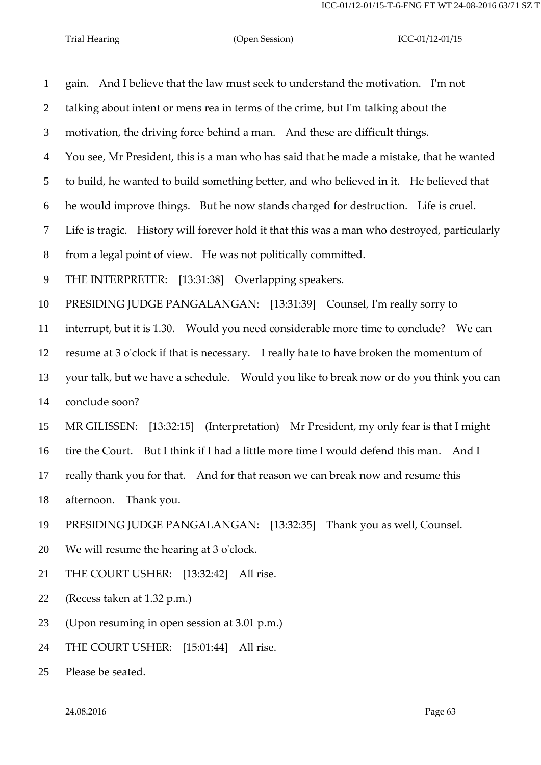| $\mathbf{1}$   | gain. And I believe that the law must seek to understand the motivation. I'm not             |
|----------------|----------------------------------------------------------------------------------------------|
| $\overline{2}$ | talking about intent or mens rea in terms of the crime, but I'm talking about the            |
| 3              | motivation, the driving force behind a man. And these are difficult things.                  |
| $\overline{4}$ | You see, Mr President, this is a man who has said that he made a mistake, that he wanted     |
| $\mathfrak{S}$ | to build, he wanted to build something better, and who believed in it. He believed that      |
| 6              | he would improve things. But he now stands charged for destruction. Life is cruel.           |
| $\tau$         | Life is tragic. History will forever hold it that this was a man who destroyed, particularly |
| 8              | from a legal point of view. He was not politically committed.                                |
| 9              | THE INTERPRETER: [13:31:38] Overlapping speakers.                                            |
| 10             | PRESIDING JUDGE PANGALANGAN: [13:31:39] Counsel, I'm really sorry to                         |
| 11             | interrupt, but it is 1.30. Would you need considerable more time to conclude? We can         |
| 12             | resume at 3 o'clock if that is necessary. I really hate to have broken the momentum of       |
| 13             | your talk, but we have a schedule.  Would you like to break now or do you think you can      |
| 14             | conclude soon?                                                                               |
| 15             | MR GILISSEN: [13:32:15] (Interpretation) Mr President, my only fear is that I might          |
| 16             | tire the Court. But I think if I had a little more time I would defend this man. And I       |
| 17             | really thank you for that. And for that reason we can break now and resume this              |
| 18             | afternoon. Thank you.                                                                        |
| 19             | PRESIDING JUDGE PANGALANGAN: [13:32:35] Thank you as well, Counsel.                          |
| 20             | We will resume the hearing at 3 o'clock.                                                     |
| 21             | THE COURT USHER: [13:32:42] All rise.                                                        |
| 22             | (Recess taken at 1.32 p.m.)                                                                  |
| 23             | (Upon resuming in open session at 3.01 p.m.)                                                 |
| 24             | THE COURT USHER: [15:01:44] All rise.                                                        |
|                |                                                                                              |

Please be seated.

24.08.2016 Page 63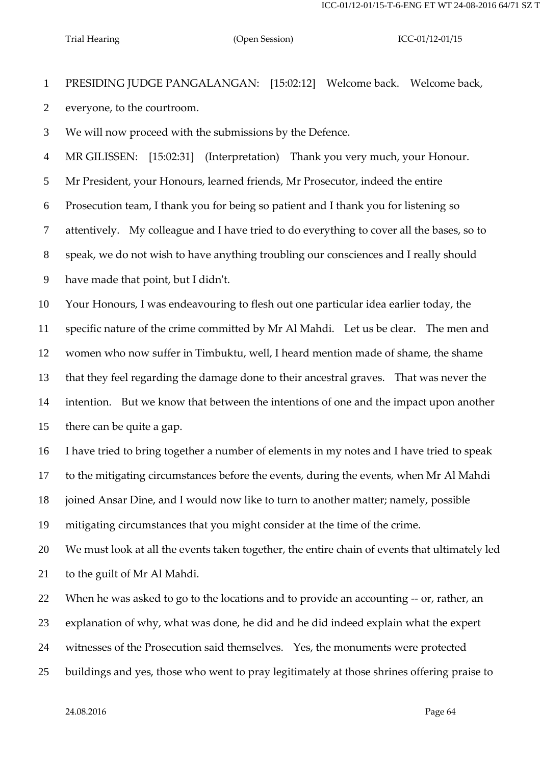PRESIDING JUDGE PANGALANGAN: [15:02:12] Welcome back. Welcome back, everyone, to the courtroom.

We will now proceed with the submissions by the Defence.

MR GILISSEN: [15:02:31] (Interpretation) Thank you very much, your Honour.

Mr President, your Honours, learned friends, Mr Prosecutor, indeed the entire

Prosecution team, I thank you for being so patient and I thank you for listening so

attentively. My colleague and I have tried to do everything to cover all the bases, so to

speak, we do not wish to have anything troubling our consciences and I really should

have made that point, but I didn't.

Your Honours, I was endeavouring to flesh out one particular idea earlier today, the

specific nature of the crime committed by Mr Al Mahdi. Let us be clear. The men and

women who now suffer in Timbuktu, well, I heard mention made of shame, the shame

that they feel regarding the damage done to their ancestral graves. That was never the

 intention. But we know that between the intentions of one and the impact upon another there can be quite a gap.

I have tried to bring together a number of elements in my notes and I have tried to speak

to the mitigating circumstances before the events, during the events, when Mr Al Mahdi

joined Ansar Dine, and I would now like to turn to another matter; namely, possible

mitigating circumstances that you might consider at the time of the crime.

We must look at all the events taken together, the entire chain of events that ultimately led

to the guilt of Mr Al Mahdi.

When he was asked to go to the locations and to provide an accounting -- or, rather, an

explanation of why, what was done, he did and he did indeed explain what the expert

witnesses of the Prosecution said themselves. Yes, the monuments were protected

buildings and yes, those who went to pray legitimately at those shrines offering praise to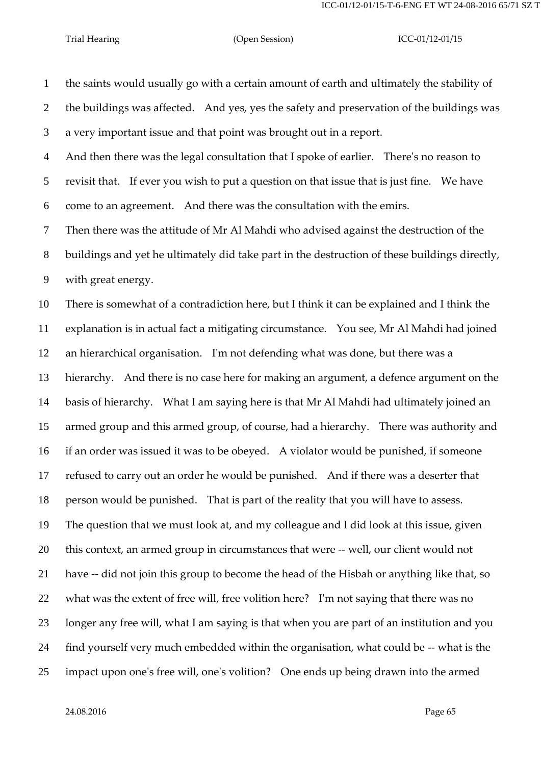the saints would usually go with a certain amount of earth and ultimately the stability of the buildings was affected. And yes, yes the safety and preservation of the buildings was a very important issue and that point was brought out in a report. And then there was the legal consultation that I spoke of earlier. There's no reason to revisit that. If ever you wish to put a question on that issue that is just fine. We have come to an agreement. And there was the consultation with the emirs. Then there was the attitude of Mr Al Mahdi who advised against the destruction of the buildings and yet he ultimately did take part in the destruction of these buildings directly, with great energy. There is somewhat of a contradiction here, but I think it can be explained and I think the explanation is in actual fact a mitigating circumstance. You see, Mr Al Mahdi had joined an hierarchical organisation. I'm not defending what was done, but there was a hierarchy. And there is no case here for making an argument, a defence argument on the basis of hierarchy. What I am saying here is that Mr Al Mahdi had ultimately joined an armed group and this armed group, of course, had a hierarchy. There was authority and if an order was issued it was to be obeyed. A violator would be punished, if someone refused to carry out an order he would be punished. And if there was a deserter that person would be punished. That is part of the reality that you will have to assess. The question that we must look at, and my colleague and I did look at this issue, given this context, an armed group in circumstances that were -- well, our client would not have -- did not join this group to become the head of the Hisbah or anything like that, so what was the extent of free will, free volition here? I'm not saying that there was no longer any free will, what I am saying is that when you are part of an institution and you find yourself very much embedded within the organisation, what could be -- what is the impact upon one's free will, one's volition? One ends up being drawn into the armed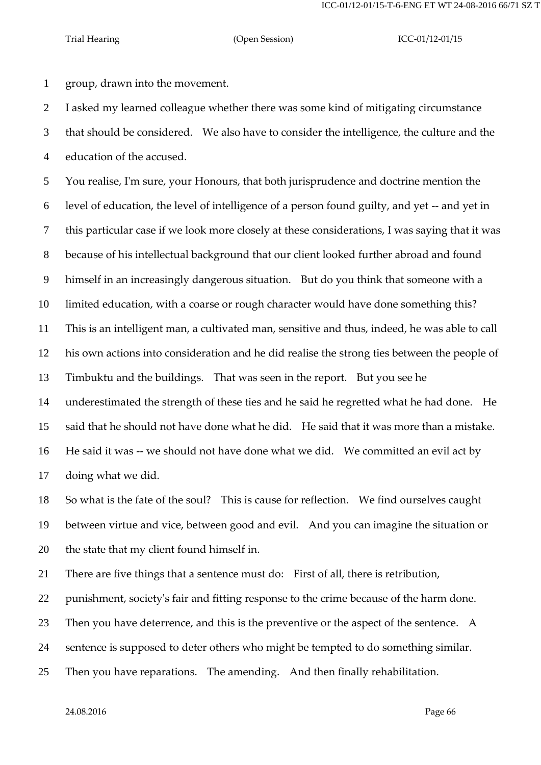group, drawn into the movement.

I asked my learned colleague whether there was some kind of mitigating circumstance

 that should be considered. We also have to consider the intelligence, the culture and the education of the accused.

 You realise, I'm sure, your Honours, that both jurisprudence and doctrine mention the level of education, the level of intelligence of a person found guilty, and yet -- and yet in this particular case if we look more closely at these considerations, I was saying that it was because of his intellectual background that our client looked further abroad and found himself in an increasingly dangerous situation. But do you think that someone with a limited education, with a coarse or rough character would have done something this? This is an intelligent man, a cultivated man, sensitive and thus, indeed, he was able to call his own actions into consideration and he did realise the strong ties between the people of Timbuktu and the buildings. That was seen in the report. But you see he underestimated the strength of these ties and he said he regretted what he had done. He said that he should not have done what he did. He said that it was more than a mistake. He said it was -- we should not have done what we did. We committed an evil act by doing what we did.

 So what is the fate of the soul? This is cause for reflection. We find ourselves caught between virtue and vice, between good and evil. And you can imagine the situation or the state that my client found himself in.

There are five things that a sentence must do: First of all, there is retribution,

punishment, society's fair and fitting response to the crime because of the harm done.

23 Then you have deterrence, and this is the preventive or the aspect of the sentence. A

sentence is supposed to deter others who might be tempted to do something similar.

Then you have reparations. The amending. And then finally rehabilitation.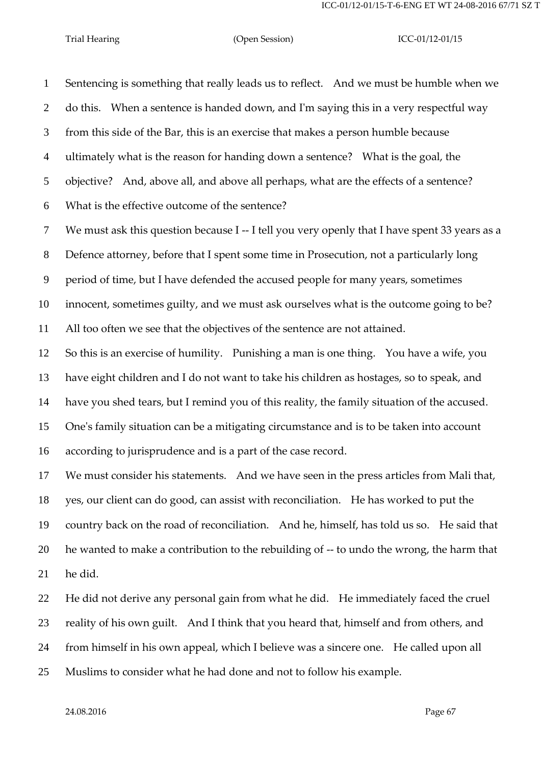Sentencing is something that really leads us to reflect. And we must be humble when we do this. When a sentence is handed down, and I'm saying this in a very respectful way from this side of the Bar, this is an exercise that makes a person humble because ultimately what is the reason for handing down a sentence? What is the goal, the objective? And, above all, and above all perhaps, what are the effects of a sentence? What is the effective outcome of the sentence? We must ask this question because I -- I tell you very openly that I have spent 33 years as a Defence attorney, before that I spent some time in Prosecution, not a particularly long period of time, but I have defended the accused people for many years, sometimes innocent, sometimes guilty, and we must ask ourselves what is the outcome going to be? All too often we see that the objectives of the sentence are not attained. So this is an exercise of humility. Punishing a man is one thing. You have a wife, you have eight children and I do not want to take his children as hostages, so to speak, and have you shed tears, but I remind you of this reality, the family situation of the accused. One's family situation can be a mitigating circumstance and is to be taken into account according to jurisprudence and is a part of the case record. We must consider his statements. And we have seen in the press articles from Mali that, yes, our client can do good, can assist with reconciliation. He has worked to put the country back on the road of reconciliation. And he, himself, has told us so. He said that 20 he wanted to make a contribution to the rebuilding of -- to undo the wrong, the harm that

he did.

 He did not derive any personal gain from what he did. He immediately faced the cruel reality of his own guilt. And I think that you heard that, himself and from others, and from himself in his own appeal, which I believe was a sincere one. He called upon all Muslims to consider what he had done and not to follow his example.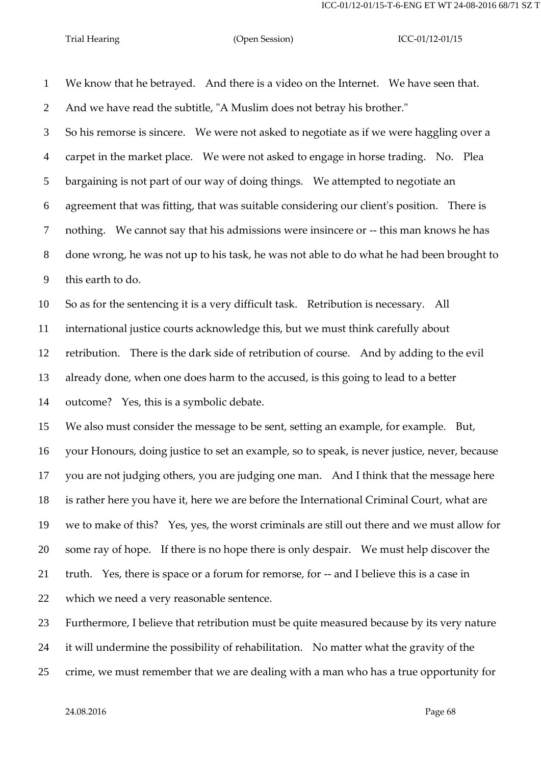We know that he betrayed. And there is a video on the Internet. We have seen that. And we have read the subtitle, "A Muslim does not betray his brother." So his remorse is sincere. We were not asked to negotiate as if we were haggling over a carpet in the market place. We were not asked to engage in horse trading. No. Plea bargaining is not part of our way of doing things. We attempted to negotiate an agreement that was fitting, that was suitable considering our client's position. There is nothing. We cannot say that his admissions were insincere or -- this man knows he has done wrong, he was not up to his task, he was not able to do what he had been brought to this earth to do. So as for the sentencing it is a very difficult task. Retribution is necessary. All international justice courts acknowledge this, but we must think carefully about retribution. There is the dark side of retribution of course. And by adding to the evil already done, when one does harm to the accused, is this going to lead to a better outcome? Yes, this is a symbolic debate. We also must consider the message to be sent, setting an example, for example. But, your Honours, doing justice to set an example, so to speak, is never justice, never, because you are not judging others, you are judging one man. And I think that the message here is rather here you have it, here we are before the International Criminal Court, what are we to make of this? Yes, yes, the worst criminals are still out there and we must allow for some ray of hope. If there is no hope there is only despair. We must help discover the truth. Yes, there is space or a forum for remorse, for -- and I believe this is a case in which we need a very reasonable sentence. Furthermore, I believe that retribution must be quite measured because by its very nature

it will undermine the possibility of rehabilitation. No matter what the gravity of the

crime, we must remember that we are dealing with a man who has a true opportunity for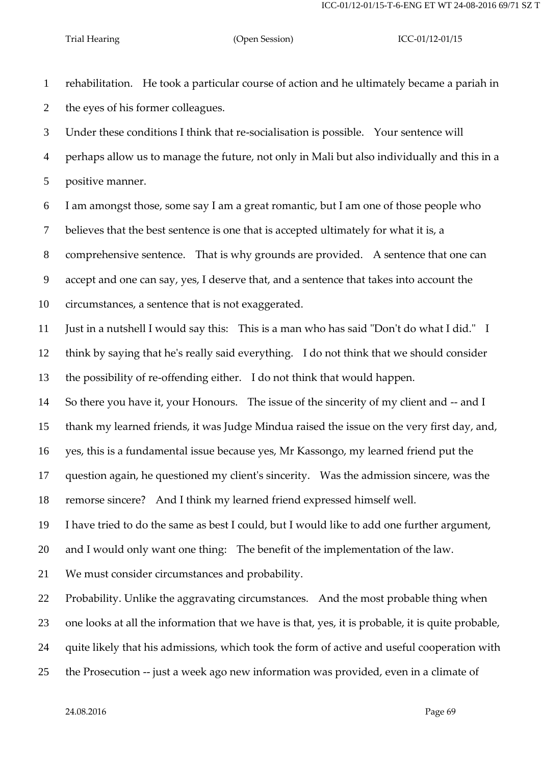rehabilitation. He took a particular course of action and he ultimately became a pariah in the eyes of his former colleagues.

 Under these conditions I think that re-socialisation is possible. Your sentence will perhaps allow us to manage the future, not only in Mali but also individually and this in a positive manner.

 I am amongst those, some say I am a great romantic, but I am one of those people who believes that the best sentence is one that is accepted ultimately for what it is, a comprehensive sentence. That is why grounds are provided. A sentence that one can accept and one can say, yes, I deserve that, and a sentence that takes into account the

circumstances, a sentence that is not exaggerated.

Just in a nutshell I would say this: This is a man who has said "Don't do what I did." I

think by saying that he's really said everything. I do not think that we should consider

the possibility of re-offending either. I do not think that would happen.

So there you have it, your Honours. The issue of the sincerity of my client and -- and I

thank my learned friends, it was Judge Mindua raised the issue on the very first day, and,

yes, this is a fundamental issue because yes, Mr Kassongo, my learned friend put the

question again, he questioned my client's sincerity. Was the admission sincere, was the

remorse sincere? And I think my learned friend expressed himself well.

I have tried to do the same as best I could, but I would like to add one further argument,

and I would only want one thing: The benefit of the implementation of the law.

We must consider circumstances and probability.

Probability. Unlike the aggravating circumstances. And the most probable thing when

one looks at all the information that we have is that, yes, it is probable, it is quite probable,

quite likely that his admissions, which took the form of active and useful cooperation with

the Prosecution -- just a week ago new information was provided, even in a climate of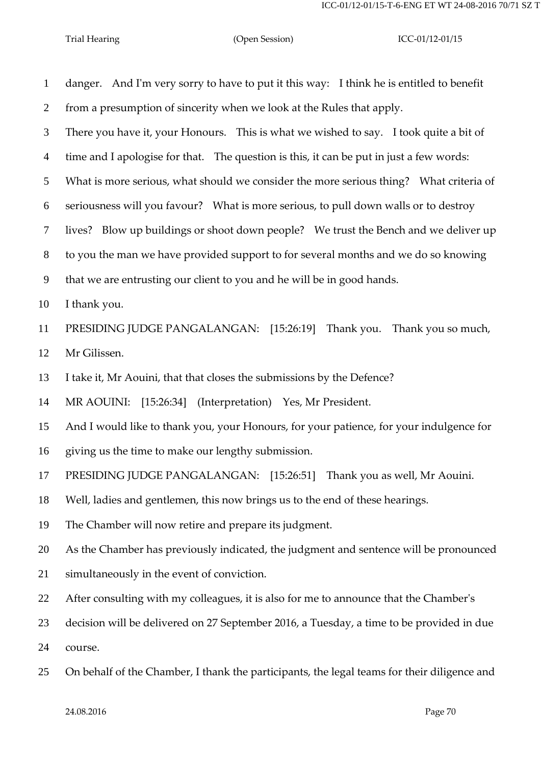| $\mathbf{1}$   | danger. And I'm very sorry to have to put it this way: I think he is entitled to benefit    |
|----------------|---------------------------------------------------------------------------------------------|
| 2              | from a presumption of sincerity when we look at the Rules that apply.                       |
| 3              | There you have it, your Honours. This is what we wished to say. I took quite a bit of       |
| $\overline{4}$ | time and I apologise for that. The question is this, it can be put in just a few words:     |
| 5              | What is more serious, what should we consider the more serious thing? What criteria of      |
| 6              | seriousness will you favour? What is more serious, to pull down walls or to destroy         |
| $\tau$         | lives? Blow up buildings or shoot down people? We trust the Bench and we deliver up         |
| 8              | to you the man we have provided support to for several months and we do so knowing          |
| 9              | that we are entrusting our client to you and he will be in good hands.                      |
| 10             | I thank you.                                                                                |
| 11             | PRESIDING JUDGE PANGALANGAN: [15:26:19] Thank you. Thank you so much,                       |
| 12             | Mr Gilissen.                                                                                |
| 13             | I take it, Mr Aouini, that that closes the submissions by the Defence?                      |
| 14             | MR AOUINI: [15:26:34] (Interpretation) Yes, Mr President.                                   |
| 15             | And I would like to thank you, your Honours, for your patience, for your indulgence for     |
| 16             | giving us the time to make our lengthy submission.                                          |
| 17             | PRESIDING JUDGE PANGALANGAN: [15:26:51] Thank you as well, Mr Aouini.                       |
| 18             | Well, ladies and gentlemen, this now brings us to the end of these hearings.                |
| 19             | The Chamber will now retire and prepare its judgment.                                       |
| 20             | As the Chamber has previously indicated, the judgment and sentence will be pronounced       |
| 21             | simultaneously in the event of conviction.                                                  |
| 22             | After consulting with my colleagues, it is also for me to announce that the Chamber's       |
| 23             | decision will be delivered on 27 September 2016, a Tuesday, a time to be provided in due    |
| 24             | course.                                                                                     |
| 25             | On behalf of the Chamber, I thank the participants, the legal teams for their diligence and |
|                |                                                                                             |